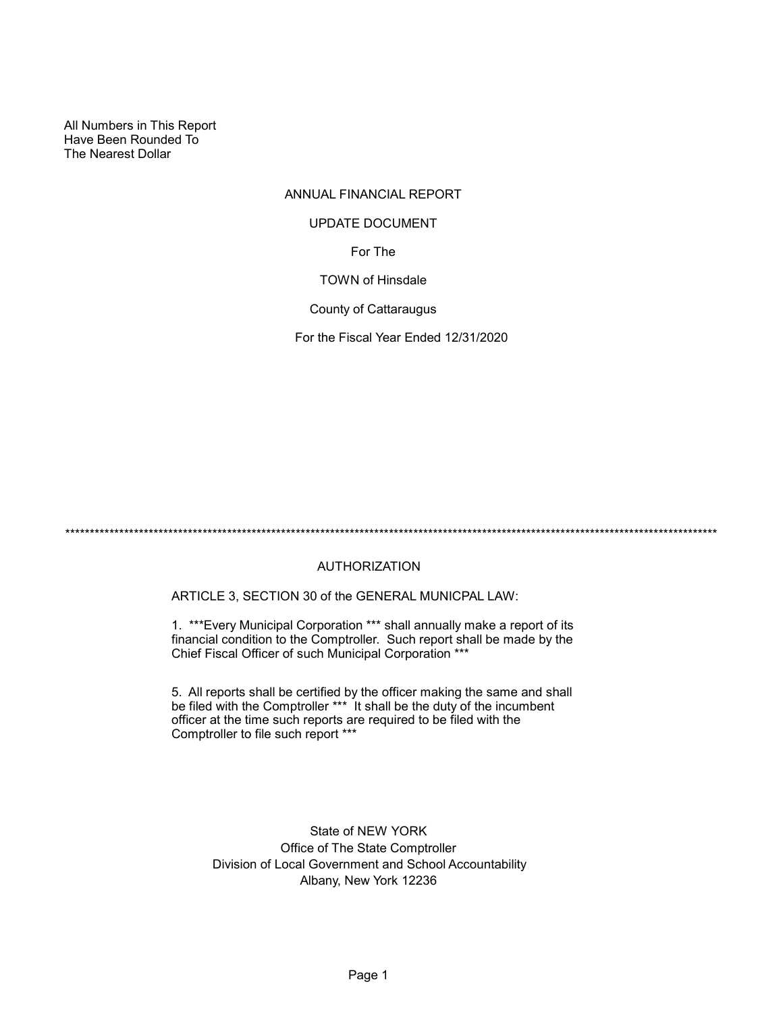All Numbers in This Report Have Been Rounded To The Nearest Dollar

## ANNUAL FINANCIAL REPORT

#### UPDATE DOCUMENT

For The

TOWN of Hinsdale

County of Cattaraugus

For the Fiscal Year Ended 12/31/2020

\*\*\*\*\*\*\*\*\*\*\*\*\*\*\*\*\*\*\*\*\*\*\*\*\*\*\*\*\*\*\*\*\*\*\*\*\*\*\*\*\*\*\*\*\*\*\*\*\*\*\*\*\*\*\*\*\*\*\*\*\*\*\*\*\*\*\*\*\*\*\*\*\*\*\*\*\*\*\*\*\*\*\*\*\*\*\*\*\*\*\*\*\*\*\*\*\*\*\*\*\*\*\*\*\*\*\*\*\*\*\*\*\*\*\*\*\*\*\*\*\*\*\*\*\*\*\*\*\*\*\*\*\*

## AUTHORIZATION

ARTICLE 3, SECTION 30 of the GENERAL MUNICPAL LAW:

1. \*\*\*Every Municipal Corporation \*\*\* shall annually make a report of its financial condition to the Comptroller. Such report shall be made by the Chief Fiscal Officer of such Municipal Corporation \*\*\*

5. All reports shall be certified by the officer making the same and shall be filed with the Comptroller \*\*\* It shall be the duty of the incumbent officer at the time such reports are required to be filed with the Comptroller to file such report \*\*\*

> State of NEW YORK Office of The State Comptroller Division of Local Government and School Accountability Albany, New York 12236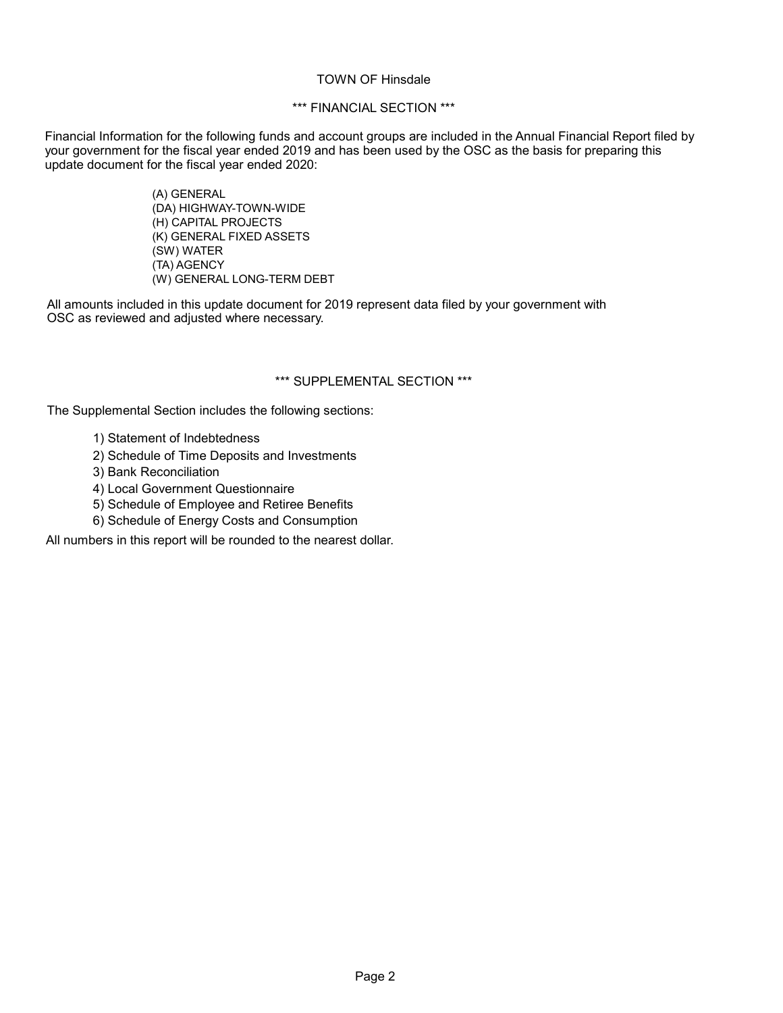#### TOWN OF Hinsdale

## \*\*\* FINANCIAL SECTION \*\*\*

Financial Information for the following funds and account groups are included in the Annual Financial Report filed by your government for the fiscal year ended 2019 and has been used by the OSC as the basis for preparing this update document for the fiscal year ended 2020:

> (A) GENERAL (DA) HIGHWAY-TOWN-WIDE (H) CAPITAL PROJECTS (K) GENERAL FIXED ASSETS (SW) WATER (TA) AGENCY (W) GENERAL LONG-TERM DEBT

All amounts included in this update document for 2019 represent data filed by your government with OSC as reviewed and adjusted where necessary.

## \*\*\* SUPPLEMENTAL SECTION \*\*\*

The Supplemental Section includes the following sections:

- 1) Statement of Indebtedness
- 2) Schedule of Time Deposits and Investments
- 3) Bank Reconciliation
- 4) Local Government Questionnaire
- 5) Schedule of Employee and Retiree Benefits
- 6) Schedule of Energy Costs and Consumption

All numbers in this report will be rounded to the nearest dollar.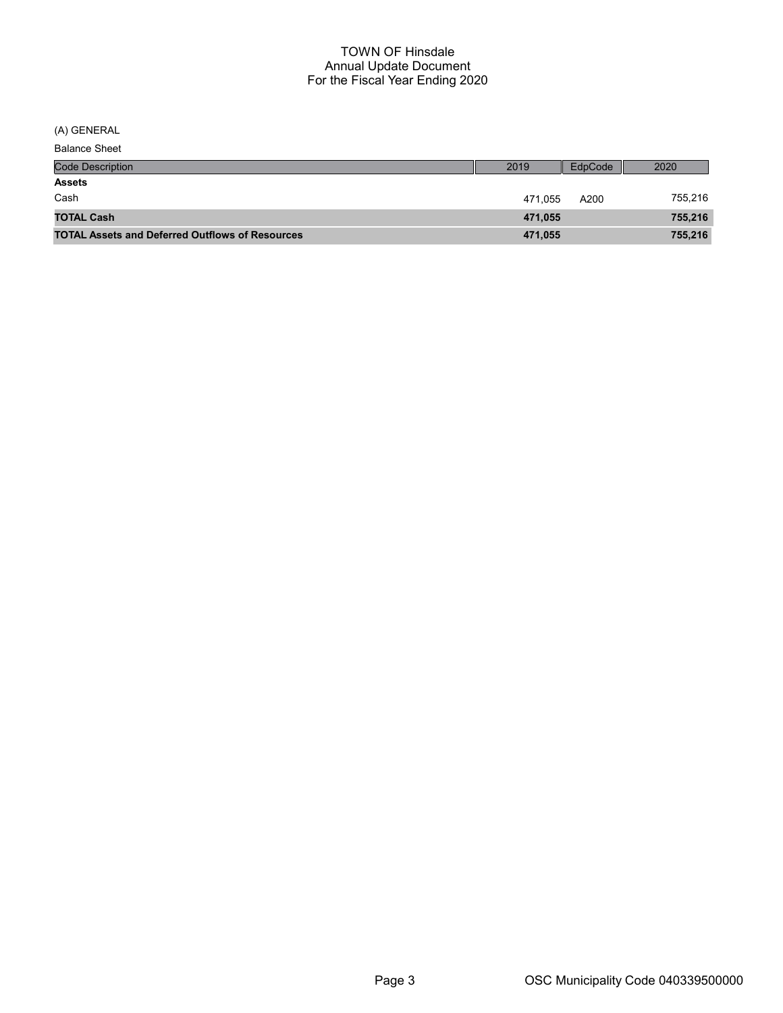(A) GENERAL

Balance Sheet

| <b>Code Description</b>                                | 2019    | EdpCode | 2020    |
|--------------------------------------------------------|---------|---------|---------|
| <b>Assets</b>                                          |         |         |         |
| Cash                                                   | 471.055 | A200    | 755,216 |
| <b>TOTAL Cash</b>                                      | 471,055 |         | 755,216 |
| <b>TOTAL Assets and Deferred Outflows of Resources</b> | 471,055 |         | 755,216 |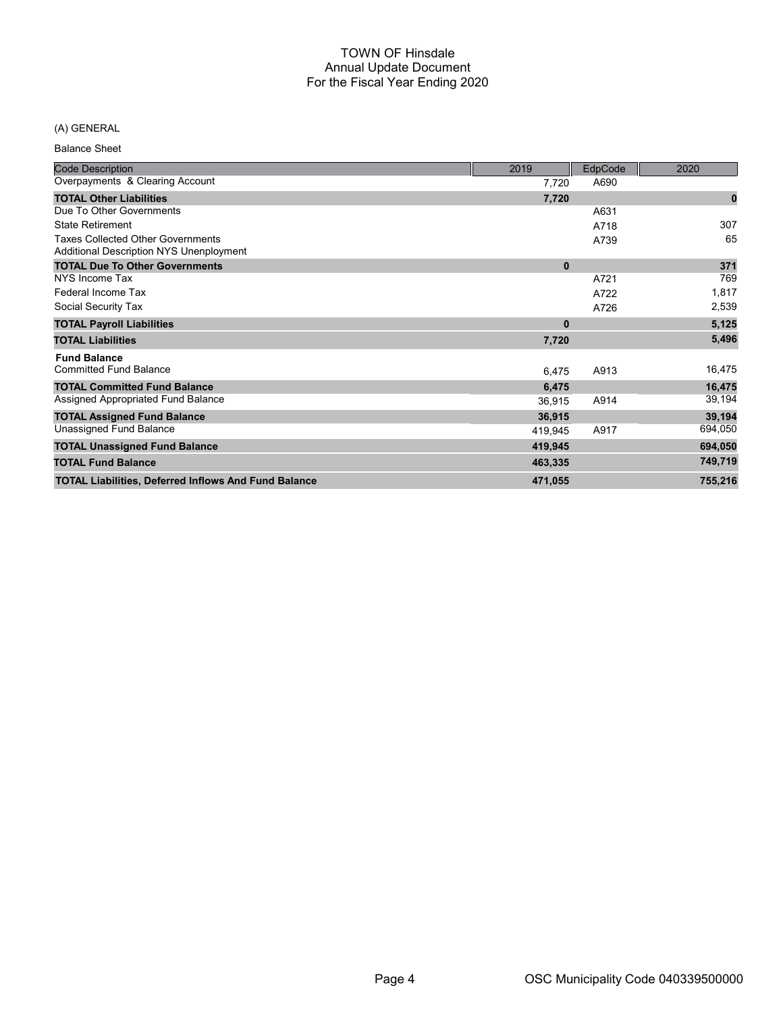## (A) GENERAL

Balance Sheet

| <b>Code Description</b>                                                                    | 2019     | EdpCode | 2020     |
|--------------------------------------------------------------------------------------------|----------|---------|----------|
| Overpayments & Clearing Account                                                            | 7,720    | A690    |          |
| <b>TOTAL Other Liabilities</b>                                                             | 7,720    |         | $\bf{0}$ |
| Due To Other Governments                                                                   |          | A631    |          |
| State Retirement                                                                           |          | A718    | 307      |
| <b>Taxes Collected Other Governments</b><br><b>Additional Description NYS Unenployment</b> |          | A739    | 65       |
| <b>TOTAL Due To Other Governments</b>                                                      | $\bf{0}$ |         | 371      |
| NYS Income Tax                                                                             |          | A721    | 769      |
| Federal Income Tax                                                                         |          | A722    | 1,817    |
| Social Security Tax                                                                        |          | A726    | 2,539    |
| <b>TOTAL Payroll Liabilities</b>                                                           | $\bf{0}$ |         | 5,125    |
| <b>TOTAL Liabilities</b>                                                                   | 7,720    |         | 5,496    |
| <b>Fund Balance</b>                                                                        |          |         |          |
| <b>Committed Fund Balance</b>                                                              | 6,475    | A913    | 16,475   |
| <b>TOTAL Committed Fund Balance</b>                                                        | 6,475    |         | 16,475   |
| Assigned Appropriated Fund Balance                                                         | 36,915   | A914    | 39,194   |
| <b>TOTAL Assigned Fund Balance</b>                                                         | 36,915   |         | 39,194   |
| Unassigned Fund Balance                                                                    | 419,945  | A917    | 694,050  |
| <b>TOTAL Unassigned Fund Balance</b>                                                       | 419,945  |         | 694,050  |
| <b>TOTAL Fund Balance</b>                                                                  | 463,335  |         | 749,719  |
| <b>TOTAL Liabilities, Deferred Inflows And Fund Balance</b>                                | 471,055  |         | 755,216  |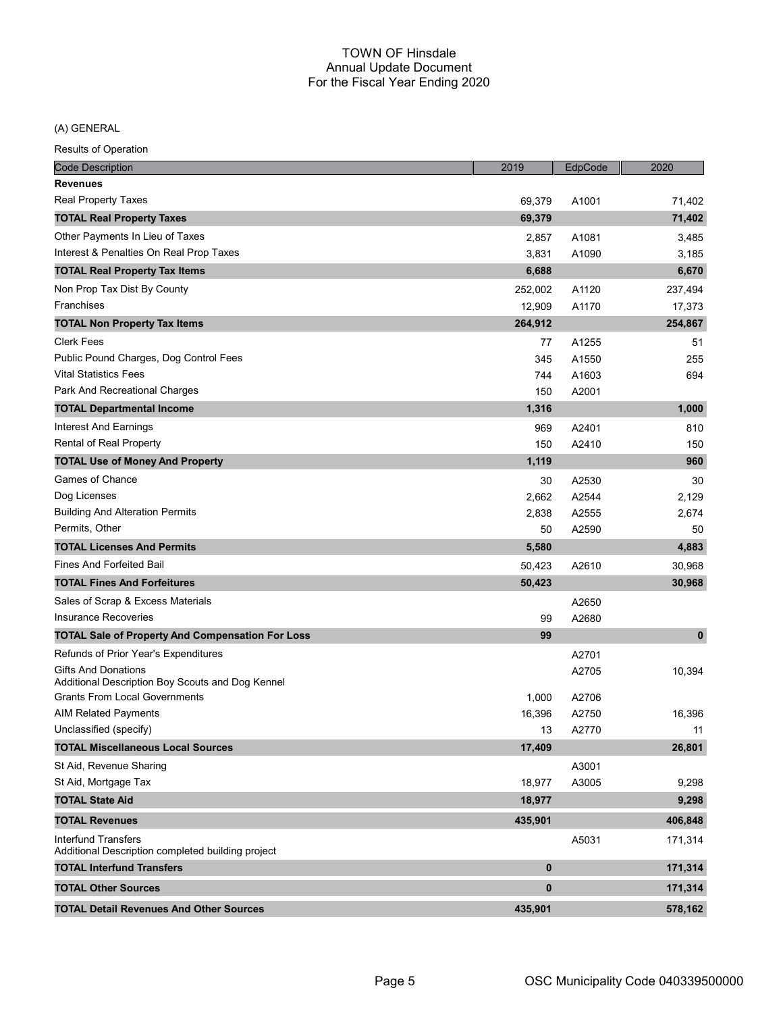(A) GENERAL

| <b>Code Description</b>                                                         | 2019      | EdpCode | 2020        |
|---------------------------------------------------------------------------------|-----------|---------|-------------|
| <b>Revenues</b>                                                                 |           |         |             |
| <b>Real Property Taxes</b>                                                      | 69,379    | A1001   | 71,402      |
| <b>TOTAL Real Property Taxes</b>                                                | 69,379    |         | 71,402      |
| Other Payments In Lieu of Taxes                                                 | 2,857     | A1081   | 3.485       |
| Interest & Penalties On Real Prop Taxes                                         | 3,831     | A1090   | 3,185       |
| <b>TOTAL Real Property Tax Items</b>                                            | 6,688     |         | 6,670       |
| Non Prop Tax Dist By County                                                     | 252,002   | A1120   | 237,494     |
| Franchises                                                                      | 12,909    | A1170   | 17,373      |
| <b>TOTAL Non Property Tax Items</b>                                             | 264,912   |         | 254,867     |
| <b>Clerk Fees</b>                                                               | 77        | A1255   | 51          |
| Public Pound Charges, Dog Control Fees                                          | 345       | A1550   | 255         |
| <b>Vital Statistics Fees</b>                                                    | 744       | A1603   | 694         |
| Park And Recreational Charges                                                   | 150       | A2001   |             |
| <b>TOTAL Departmental Income</b>                                                | 1,316     |         | 1,000       |
| <b>Interest And Earnings</b>                                                    | 969       | A2401   | 810         |
| Rental of Real Property                                                         | 150       | A2410   | 150         |
| <b>TOTAL Use of Money And Property</b>                                          | 1,119     |         | 960         |
| Games of Chance                                                                 | 30        | A2530   | 30          |
| Dog Licenses                                                                    | 2,662     | A2544   | 2,129       |
| <b>Building And Alteration Permits</b>                                          | 2,838     | A2555   | 2,674       |
| Permits, Other                                                                  | 50        | A2590   | 50          |
| <b>TOTAL Licenses And Permits</b>                                               | 5,580     |         | 4,883       |
| <b>Fines And Forfeited Bail</b>                                                 | 50,423    | A2610   | 30,968      |
| <b>TOTAL Fines And Forfeitures</b>                                              | 50,423    |         | 30,968      |
| Sales of Scrap & Excess Materials                                               |           | A2650   |             |
| Insurance Recoveries                                                            | 99        | A2680   |             |
| <b>TOTAL Sale of Property And Compensation For Loss</b>                         | 99        |         | $\mathbf 0$ |
| Refunds of Prior Year's Expenditures                                            |           | A2701   |             |
| <b>Gifts And Donations</b>                                                      |           | A2705   | 10,394      |
| Additional Description Boy Scouts and Dog Kennel                                |           |         |             |
| <b>Grants From Local Governments</b>                                            | 1,000     | A2706   |             |
| <b>AIM Related Payments</b>                                                     | 16,396    | A2750   | 16,396      |
| Unclassified (specify)                                                          | 13        | A2770   | 11          |
| <b>TOTAL Miscellaneous Local Sources</b>                                        | 17,409    |         | 26,801      |
| St Aid, Revenue Sharing                                                         |           | A3001   |             |
| St Aid, Mortgage Tax                                                            | 18,977    | A3005   | 9,298       |
| <b>TOTAL State Aid</b>                                                          | 18,977    |         | 9,298       |
| <b>TOTAL Revenues</b>                                                           | 435,901   |         | 406,848     |
| <b>Interfund Transfers</b><br>Additional Description completed building project |           | A5031   | 171,314     |
| <b>TOTAL Interfund Transfers</b>                                                | 0         |         | 171,314     |
| <b>TOTAL Other Sources</b>                                                      | $\pmb{0}$ |         | 171,314     |
| <b>TOTAL Detail Revenues And Other Sources</b>                                  | 435,901   |         | 578,162     |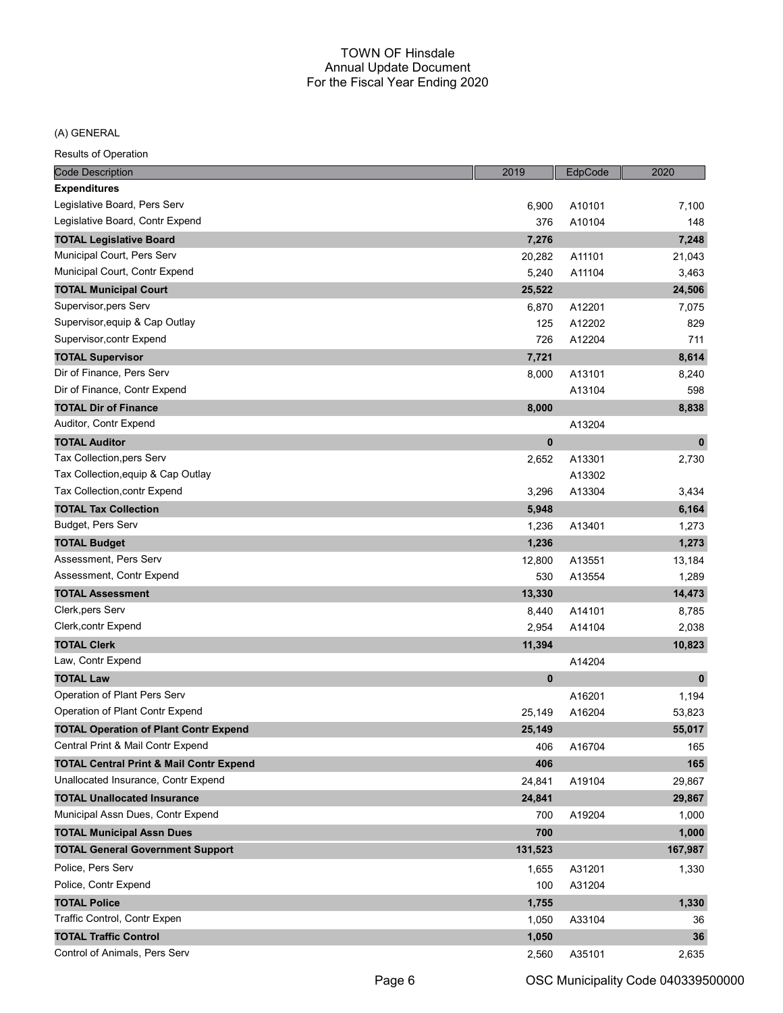#### (A) GENERAL

| 6,900<br>A10101<br>7,100<br>A10104<br>376<br>148<br>7,248<br><b>TOTAL Legislative Board</b><br>7,276<br>20,282<br>A11101<br>21,043<br>5,240<br>A11104<br>3,463<br><b>TOTAL Municipal Court</b><br>25,522<br>24,506<br>Supervisor, pers Serv<br>6,870<br>A12201<br>7,075<br>Supervisor, equip & Cap Outlay<br>A12202<br>125<br>829<br>726<br>A12204<br>711<br>8,614<br><b>TOTAL Supervisor</b><br>7,721<br>Dir of Finance, Pers Serv<br>A13101<br>8,000<br>8,240<br>Dir of Finance, Contr Expend<br>A13104<br>598<br><b>TOTAL Dir of Finance</b><br>8,000<br>8,838<br>A13204<br><b>TOTAL Auditor</b><br>0<br>$\mathbf 0$<br>Tax Collection, pers Serv<br>A13301<br>2,652<br>2,730<br>Tax Collection, equip & Cap Outlay<br>A13302<br>3,296<br>A13304<br>3,434<br><b>TOTAL Tax Collection</b><br>6,164<br>5,948<br>Budget, Pers Serv<br>1,236<br>A13401<br>1,273<br>1,273<br><b>TOTAL Budget</b><br>1,236<br>Assessment, Pers Serv<br>12,800<br>13,184<br>A13551<br>1,289<br>530<br>A13554<br>14,473<br><b>TOTAL Assessment</b><br>13,330<br>A14101<br>8,440<br>8,785<br>2,954<br>A14104<br>2,038<br><b>TOTAL Clerk</b><br>11,394<br>10,823<br>Law, Contr Expend<br>A14204<br><b>TOTAL Law</b><br>0<br>$\mathbf{0}$<br>Operation of Plant Pers Serv<br>A16201<br>1,194<br>Operation of Plant Contr Expend<br>25,149<br>A16204<br>53,823<br>55,017<br><b>TOTAL Operation of Plant Contr Expend</b><br>25.149<br>Central Print & Mail Contr Expend<br>A16704<br>406<br>165<br><b>TOTAL Central Print &amp; Mail Contr Expend</b><br>406<br>165<br>Unallocated Insurance, Contr Expend<br>A19104<br>24,841<br>29,867<br><b>TOTAL Unallocated Insurance</b><br>24,841<br>29,867<br>Municipal Assn Dues, Contr Expend<br>A19204<br>700<br>1,000<br>1,000<br><b>TOTAL Municipal Assn Dues</b><br>700<br>131,523<br><b>TOTAL General Government Support</b><br>167,987<br>Police, Pers Serv<br>A31201<br>1,330<br>1,655<br>Police, Contr Expend<br>100<br>A31204<br><b>TOTAL Police</b><br>1,755<br>1,330<br>Traffic Control, Contr Expen<br>A33104<br>1,050<br>36<br><b>TOTAL Traffic Control</b><br>1,050<br>36 | <b>Code Description</b>         | 2019  | EdpCode | 2020  |
|----------------------------------------------------------------------------------------------------------------------------------------------------------------------------------------------------------------------------------------------------------------------------------------------------------------------------------------------------------------------------------------------------------------------------------------------------------------------------------------------------------------------------------------------------------------------------------------------------------------------------------------------------------------------------------------------------------------------------------------------------------------------------------------------------------------------------------------------------------------------------------------------------------------------------------------------------------------------------------------------------------------------------------------------------------------------------------------------------------------------------------------------------------------------------------------------------------------------------------------------------------------------------------------------------------------------------------------------------------------------------------------------------------------------------------------------------------------------------------------------------------------------------------------------------------------------------------------------------------------------------------------------------------------------------------------------------------------------------------------------------------------------------------------------------------------------------------------------------------------------------------------------------------------------------------------------------------------------------------------------------------------------------------------------------------------------------------------------------------|---------------------------------|-------|---------|-------|
|                                                                                                                                                                                                                                                                                                                                                                                                                                                                                                                                                                                                                                                                                                                                                                                                                                                                                                                                                                                                                                                                                                                                                                                                                                                                                                                                                                                                                                                                                                                                                                                                                                                                                                                                                                                                                                                                                                                                                                                                                                                                                                          | <b>Expenditures</b>             |       |         |       |
|                                                                                                                                                                                                                                                                                                                                                                                                                                                                                                                                                                                                                                                                                                                                                                                                                                                                                                                                                                                                                                                                                                                                                                                                                                                                                                                                                                                                                                                                                                                                                                                                                                                                                                                                                                                                                                                                                                                                                                                                                                                                                                          | Legislative Board, Pers Serv    |       |         |       |
|                                                                                                                                                                                                                                                                                                                                                                                                                                                                                                                                                                                                                                                                                                                                                                                                                                                                                                                                                                                                                                                                                                                                                                                                                                                                                                                                                                                                                                                                                                                                                                                                                                                                                                                                                                                                                                                                                                                                                                                                                                                                                                          | Legislative Board, Contr Expend |       |         |       |
|                                                                                                                                                                                                                                                                                                                                                                                                                                                                                                                                                                                                                                                                                                                                                                                                                                                                                                                                                                                                                                                                                                                                                                                                                                                                                                                                                                                                                                                                                                                                                                                                                                                                                                                                                                                                                                                                                                                                                                                                                                                                                                          |                                 |       |         |       |
|                                                                                                                                                                                                                                                                                                                                                                                                                                                                                                                                                                                                                                                                                                                                                                                                                                                                                                                                                                                                                                                                                                                                                                                                                                                                                                                                                                                                                                                                                                                                                                                                                                                                                                                                                                                                                                                                                                                                                                                                                                                                                                          | Municipal Court, Pers Serv      |       |         |       |
|                                                                                                                                                                                                                                                                                                                                                                                                                                                                                                                                                                                                                                                                                                                                                                                                                                                                                                                                                                                                                                                                                                                                                                                                                                                                                                                                                                                                                                                                                                                                                                                                                                                                                                                                                                                                                                                                                                                                                                                                                                                                                                          | Municipal Court, Contr Expend   |       |         |       |
|                                                                                                                                                                                                                                                                                                                                                                                                                                                                                                                                                                                                                                                                                                                                                                                                                                                                                                                                                                                                                                                                                                                                                                                                                                                                                                                                                                                                                                                                                                                                                                                                                                                                                                                                                                                                                                                                                                                                                                                                                                                                                                          |                                 |       |         |       |
|                                                                                                                                                                                                                                                                                                                                                                                                                                                                                                                                                                                                                                                                                                                                                                                                                                                                                                                                                                                                                                                                                                                                                                                                                                                                                                                                                                                                                                                                                                                                                                                                                                                                                                                                                                                                                                                                                                                                                                                                                                                                                                          |                                 |       |         |       |
|                                                                                                                                                                                                                                                                                                                                                                                                                                                                                                                                                                                                                                                                                                                                                                                                                                                                                                                                                                                                                                                                                                                                                                                                                                                                                                                                                                                                                                                                                                                                                                                                                                                                                                                                                                                                                                                                                                                                                                                                                                                                                                          |                                 |       |         |       |
|                                                                                                                                                                                                                                                                                                                                                                                                                                                                                                                                                                                                                                                                                                                                                                                                                                                                                                                                                                                                                                                                                                                                                                                                                                                                                                                                                                                                                                                                                                                                                                                                                                                                                                                                                                                                                                                                                                                                                                                                                                                                                                          | Supervisor, contr Expend        |       |         |       |
|                                                                                                                                                                                                                                                                                                                                                                                                                                                                                                                                                                                                                                                                                                                                                                                                                                                                                                                                                                                                                                                                                                                                                                                                                                                                                                                                                                                                                                                                                                                                                                                                                                                                                                                                                                                                                                                                                                                                                                                                                                                                                                          |                                 |       |         |       |
|                                                                                                                                                                                                                                                                                                                                                                                                                                                                                                                                                                                                                                                                                                                                                                                                                                                                                                                                                                                                                                                                                                                                                                                                                                                                                                                                                                                                                                                                                                                                                                                                                                                                                                                                                                                                                                                                                                                                                                                                                                                                                                          |                                 |       |         |       |
|                                                                                                                                                                                                                                                                                                                                                                                                                                                                                                                                                                                                                                                                                                                                                                                                                                                                                                                                                                                                                                                                                                                                                                                                                                                                                                                                                                                                                                                                                                                                                                                                                                                                                                                                                                                                                                                                                                                                                                                                                                                                                                          |                                 |       |         |       |
|                                                                                                                                                                                                                                                                                                                                                                                                                                                                                                                                                                                                                                                                                                                                                                                                                                                                                                                                                                                                                                                                                                                                                                                                                                                                                                                                                                                                                                                                                                                                                                                                                                                                                                                                                                                                                                                                                                                                                                                                                                                                                                          |                                 |       |         |       |
|                                                                                                                                                                                                                                                                                                                                                                                                                                                                                                                                                                                                                                                                                                                                                                                                                                                                                                                                                                                                                                                                                                                                                                                                                                                                                                                                                                                                                                                                                                                                                                                                                                                                                                                                                                                                                                                                                                                                                                                                                                                                                                          | Auditor, Contr Expend           |       |         |       |
|                                                                                                                                                                                                                                                                                                                                                                                                                                                                                                                                                                                                                                                                                                                                                                                                                                                                                                                                                                                                                                                                                                                                                                                                                                                                                                                                                                                                                                                                                                                                                                                                                                                                                                                                                                                                                                                                                                                                                                                                                                                                                                          |                                 |       |         |       |
|                                                                                                                                                                                                                                                                                                                                                                                                                                                                                                                                                                                                                                                                                                                                                                                                                                                                                                                                                                                                                                                                                                                                                                                                                                                                                                                                                                                                                                                                                                                                                                                                                                                                                                                                                                                                                                                                                                                                                                                                                                                                                                          |                                 |       |         |       |
|                                                                                                                                                                                                                                                                                                                                                                                                                                                                                                                                                                                                                                                                                                                                                                                                                                                                                                                                                                                                                                                                                                                                                                                                                                                                                                                                                                                                                                                                                                                                                                                                                                                                                                                                                                                                                                                                                                                                                                                                                                                                                                          |                                 |       |         |       |
|                                                                                                                                                                                                                                                                                                                                                                                                                                                                                                                                                                                                                                                                                                                                                                                                                                                                                                                                                                                                                                                                                                                                                                                                                                                                                                                                                                                                                                                                                                                                                                                                                                                                                                                                                                                                                                                                                                                                                                                                                                                                                                          | Tax Collection, contr Expend    |       |         |       |
|                                                                                                                                                                                                                                                                                                                                                                                                                                                                                                                                                                                                                                                                                                                                                                                                                                                                                                                                                                                                                                                                                                                                                                                                                                                                                                                                                                                                                                                                                                                                                                                                                                                                                                                                                                                                                                                                                                                                                                                                                                                                                                          |                                 |       |         |       |
|                                                                                                                                                                                                                                                                                                                                                                                                                                                                                                                                                                                                                                                                                                                                                                                                                                                                                                                                                                                                                                                                                                                                                                                                                                                                                                                                                                                                                                                                                                                                                                                                                                                                                                                                                                                                                                                                                                                                                                                                                                                                                                          |                                 |       |         |       |
|                                                                                                                                                                                                                                                                                                                                                                                                                                                                                                                                                                                                                                                                                                                                                                                                                                                                                                                                                                                                                                                                                                                                                                                                                                                                                                                                                                                                                                                                                                                                                                                                                                                                                                                                                                                                                                                                                                                                                                                                                                                                                                          |                                 |       |         |       |
|                                                                                                                                                                                                                                                                                                                                                                                                                                                                                                                                                                                                                                                                                                                                                                                                                                                                                                                                                                                                                                                                                                                                                                                                                                                                                                                                                                                                                                                                                                                                                                                                                                                                                                                                                                                                                                                                                                                                                                                                                                                                                                          |                                 |       |         |       |
|                                                                                                                                                                                                                                                                                                                                                                                                                                                                                                                                                                                                                                                                                                                                                                                                                                                                                                                                                                                                                                                                                                                                                                                                                                                                                                                                                                                                                                                                                                                                                                                                                                                                                                                                                                                                                                                                                                                                                                                                                                                                                                          | Assessment, Contr Expend        |       |         |       |
|                                                                                                                                                                                                                                                                                                                                                                                                                                                                                                                                                                                                                                                                                                                                                                                                                                                                                                                                                                                                                                                                                                                                                                                                                                                                                                                                                                                                                                                                                                                                                                                                                                                                                                                                                                                                                                                                                                                                                                                                                                                                                                          |                                 |       |         |       |
|                                                                                                                                                                                                                                                                                                                                                                                                                                                                                                                                                                                                                                                                                                                                                                                                                                                                                                                                                                                                                                                                                                                                                                                                                                                                                                                                                                                                                                                                                                                                                                                                                                                                                                                                                                                                                                                                                                                                                                                                                                                                                                          | Clerk, pers Serv                |       |         |       |
|                                                                                                                                                                                                                                                                                                                                                                                                                                                                                                                                                                                                                                                                                                                                                                                                                                                                                                                                                                                                                                                                                                                                                                                                                                                                                                                                                                                                                                                                                                                                                                                                                                                                                                                                                                                                                                                                                                                                                                                                                                                                                                          | Clerk, contr Expend             |       |         |       |
|                                                                                                                                                                                                                                                                                                                                                                                                                                                                                                                                                                                                                                                                                                                                                                                                                                                                                                                                                                                                                                                                                                                                                                                                                                                                                                                                                                                                                                                                                                                                                                                                                                                                                                                                                                                                                                                                                                                                                                                                                                                                                                          |                                 |       |         |       |
|                                                                                                                                                                                                                                                                                                                                                                                                                                                                                                                                                                                                                                                                                                                                                                                                                                                                                                                                                                                                                                                                                                                                                                                                                                                                                                                                                                                                                                                                                                                                                                                                                                                                                                                                                                                                                                                                                                                                                                                                                                                                                                          |                                 |       |         |       |
|                                                                                                                                                                                                                                                                                                                                                                                                                                                                                                                                                                                                                                                                                                                                                                                                                                                                                                                                                                                                                                                                                                                                                                                                                                                                                                                                                                                                                                                                                                                                                                                                                                                                                                                                                                                                                                                                                                                                                                                                                                                                                                          |                                 |       |         |       |
|                                                                                                                                                                                                                                                                                                                                                                                                                                                                                                                                                                                                                                                                                                                                                                                                                                                                                                                                                                                                                                                                                                                                                                                                                                                                                                                                                                                                                                                                                                                                                                                                                                                                                                                                                                                                                                                                                                                                                                                                                                                                                                          |                                 |       |         |       |
|                                                                                                                                                                                                                                                                                                                                                                                                                                                                                                                                                                                                                                                                                                                                                                                                                                                                                                                                                                                                                                                                                                                                                                                                                                                                                                                                                                                                                                                                                                                                                                                                                                                                                                                                                                                                                                                                                                                                                                                                                                                                                                          |                                 |       |         |       |
|                                                                                                                                                                                                                                                                                                                                                                                                                                                                                                                                                                                                                                                                                                                                                                                                                                                                                                                                                                                                                                                                                                                                                                                                                                                                                                                                                                                                                                                                                                                                                                                                                                                                                                                                                                                                                                                                                                                                                                                                                                                                                                          |                                 |       |         |       |
|                                                                                                                                                                                                                                                                                                                                                                                                                                                                                                                                                                                                                                                                                                                                                                                                                                                                                                                                                                                                                                                                                                                                                                                                                                                                                                                                                                                                                                                                                                                                                                                                                                                                                                                                                                                                                                                                                                                                                                                                                                                                                                          |                                 |       |         |       |
|                                                                                                                                                                                                                                                                                                                                                                                                                                                                                                                                                                                                                                                                                                                                                                                                                                                                                                                                                                                                                                                                                                                                                                                                                                                                                                                                                                                                                                                                                                                                                                                                                                                                                                                                                                                                                                                                                                                                                                                                                                                                                                          |                                 |       |         |       |
|                                                                                                                                                                                                                                                                                                                                                                                                                                                                                                                                                                                                                                                                                                                                                                                                                                                                                                                                                                                                                                                                                                                                                                                                                                                                                                                                                                                                                                                                                                                                                                                                                                                                                                                                                                                                                                                                                                                                                                                                                                                                                                          |                                 |       |         |       |
|                                                                                                                                                                                                                                                                                                                                                                                                                                                                                                                                                                                                                                                                                                                                                                                                                                                                                                                                                                                                                                                                                                                                                                                                                                                                                                                                                                                                                                                                                                                                                                                                                                                                                                                                                                                                                                                                                                                                                                                                                                                                                                          |                                 |       |         |       |
|                                                                                                                                                                                                                                                                                                                                                                                                                                                                                                                                                                                                                                                                                                                                                                                                                                                                                                                                                                                                                                                                                                                                                                                                                                                                                                                                                                                                                                                                                                                                                                                                                                                                                                                                                                                                                                                                                                                                                                                                                                                                                                          |                                 |       |         |       |
|                                                                                                                                                                                                                                                                                                                                                                                                                                                                                                                                                                                                                                                                                                                                                                                                                                                                                                                                                                                                                                                                                                                                                                                                                                                                                                                                                                                                                                                                                                                                                                                                                                                                                                                                                                                                                                                                                                                                                                                                                                                                                                          |                                 |       |         |       |
|                                                                                                                                                                                                                                                                                                                                                                                                                                                                                                                                                                                                                                                                                                                                                                                                                                                                                                                                                                                                                                                                                                                                                                                                                                                                                                                                                                                                                                                                                                                                                                                                                                                                                                                                                                                                                                                                                                                                                                                                                                                                                                          |                                 |       |         |       |
|                                                                                                                                                                                                                                                                                                                                                                                                                                                                                                                                                                                                                                                                                                                                                                                                                                                                                                                                                                                                                                                                                                                                                                                                                                                                                                                                                                                                                                                                                                                                                                                                                                                                                                                                                                                                                                                                                                                                                                                                                                                                                                          |                                 |       |         |       |
|                                                                                                                                                                                                                                                                                                                                                                                                                                                                                                                                                                                                                                                                                                                                                                                                                                                                                                                                                                                                                                                                                                                                                                                                                                                                                                                                                                                                                                                                                                                                                                                                                                                                                                                                                                                                                                                                                                                                                                                                                                                                                                          |                                 |       |         |       |
|                                                                                                                                                                                                                                                                                                                                                                                                                                                                                                                                                                                                                                                                                                                                                                                                                                                                                                                                                                                                                                                                                                                                                                                                                                                                                                                                                                                                                                                                                                                                                                                                                                                                                                                                                                                                                                                                                                                                                                                                                                                                                                          |                                 |       |         |       |
|                                                                                                                                                                                                                                                                                                                                                                                                                                                                                                                                                                                                                                                                                                                                                                                                                                                                                                                                                                                                                                                                                                                                                                                                                                                                                                                                                                                                                                                                                                                                                                                                                                                                                                                                                                                                                                                                                                                                                                                                                                                                                                          |                                 |       |         |       |
|                                                                                                                                                                                                                                                                                                                                                                                                                                                                                                                                                                                                                                                                                                                                                                                                                                                                                                                                                                                                                                                                                                                                                                                                                                                                                                                                                                                                                                                                                                                                                                                                                                                                                                                                                                                                                                                                                                                                                                                                                                                                                                          |                                 |       |         |       |
|                                                                                                                                                                                                                                                                                                                                                                                                                                                                                                                                                                                                                                                                                                                                                                                                                                                                                                                                                                                                                                                                                                                                                                                                                                                                                                                                                                                                                                                                                                                                                                                                                                                                                                                                                                                                                                                                                                                                                                                                                                                                                                          | Control of Animals, Pers Serv   | 2,560 | A35101  | 2,635 |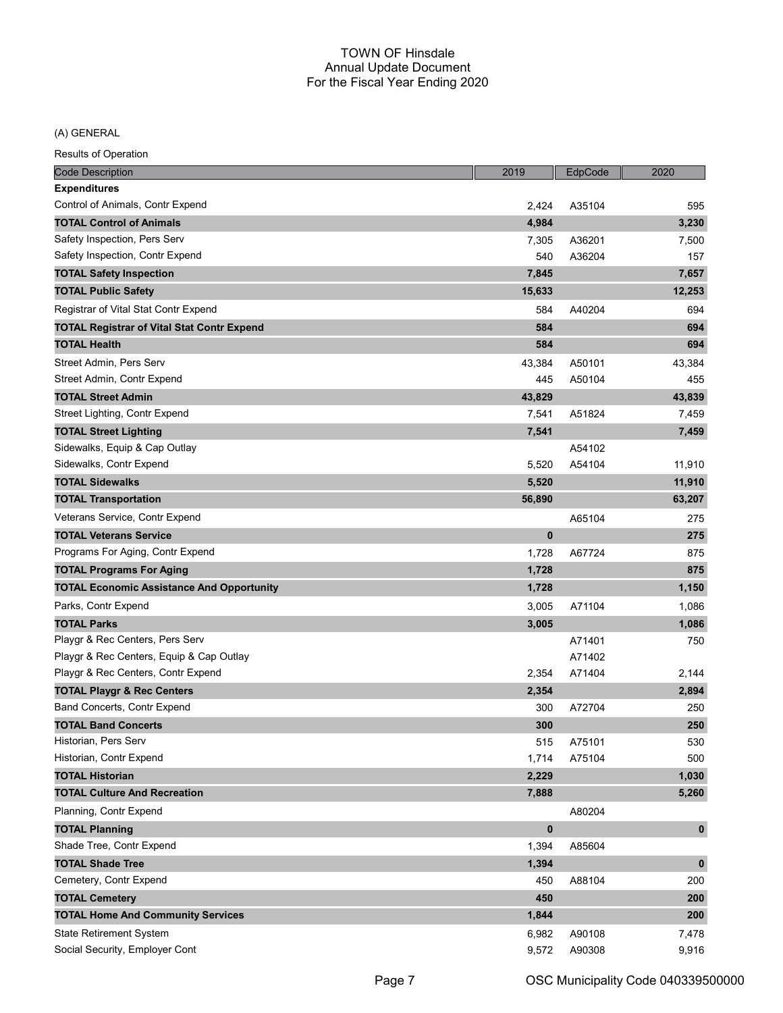(A) GENERAL

| <b>Code Description</b>                           | 2019      | EdpCode | 2020        |
|---------------------------------------------------|-----------|---------|-------------|
| <b>Expenditures</b>                               |           |         |             |
| Control of Animals, Contr Expend                  | 2,424     | A35104  | 595         |
| <b>TOTAL Control of Animals</b>                   | 4,984     |         | 3,230       |
| Safety Inspection, Pers Serv                      | 7,305     | A36201  | 7,500       |
| Safety Inspection, Contr Expend                   | 540       | A36204  | 157         |
| <b>TOTAL Safety Inspection</b>                    | 7,845     |         | 7,657       |
| <b>TOTAL Public Safety</b>                        | 15,633    |         | 12,253      |
| Registrar of Vital Stat Contr Expend              | 584       | A40204  | 694         |
| <b>TOTAL Registrar of Vital Stat Contr Expend</b> | 584       |         | 694         |
| <b>TOTAL Health</b>                               | 584       |         | 694         |
| Street Admin, Pers Serv                           | 43,384    | A50101  | 43,384      |
| Street Admin, Contr Expend                        | 445       | A50104  | 455         |
| <b>TOTAL Street Admin</b>                         | 43,829    |         | 43,839      |
| Street Lighting, Contr Expend                     | 7,541     | A51824  | 7,459       |
| <b>TOTAL Street Lighting</b>                      | 7,541     |         | 7,459       |
| Sidewalks, Equip & Cap Outlay                     |           | A54102  |             |
| Sidewalks, Contr Expend                           | 5,520     | A54104  | 11,910      |
| <b>TOTAL Sidewalks</b>                            | 5,520     |         | 11,910      |
| <b>TOTAL Transportation</b>                       | 56,890    |         | 63,207      |
| Veterans Service, Contr Expend                    |           | A65104  | 275         |
| <b>TOTAL Veterans Service</b>                     | $\bf{0}$  |         | 275         |
| Programs For Aging, Contr Expend                  | 1,728     | A67724  | 875         |
| <b>TOTAL Programs For Aging</b>                   | 1,728     |         | 875         |
| <b>TOTAL Economic Assistance And Opportunity</b>  | 1,728     |         | 1,150       |
| Parks, Contr Expend                               | 3,005     | A71104  | 1,086       |
| <b>TOTAL Parks</b>                                | 3,005     |         | 1,086       |
| Playgr & Rec Centers, Pers Serv                   |           | A71401  | 750         |
| Playgr & Rec Centers, Equip & Cap Outlay          |           | A71402  |             |
| Playgr & Rec Centers, Contr Expend                | 2,354     | A71404  | 2,144       |
| <b>TOTAL Playgr &amp; Rec Centers</b>             | 2,354     |         | 2,894       |
| Band Concerts, Contr Expend                       | 300       | A72704  | 250         |
| <b>TOTAL Band Concerts</b>                        | 300       |         | 250         |
| Historian, Pers Serv                              | 515       | A75101  | 530         |
| Historian, Contr Expend                           | 1,714     | A75104  | 500         |
| <b>TOTAL Historian</b>                            | 2,229     |         | 1,030       |
| <b>TOTAL Culture And Recreation</b>               | 7,888     |         | 5,260       |
| Planning, Contr Expend                            |           | A80204  |             |
| <b>TOTAL Planning</b>                             | $\pmb{0}$ |         | $\mathbf 0$ |
| Shade Tree, Contr Expend                          | 1,394     | A85604  |             |
| <b>TOTAL Shade Tree</b>                           | 1,394     |         | $\mathbf 0$ |
| Cemetery, Contr Expend                            | 450       | A88104  | 200         |
| <b>TOTAL Cemetery</b>                             | 450       |         | 200         |
| <b>TOTAL Home And Community Services</b>          | 1,844     |         | 200         |
| <b>State Retirement System</b>                    | 6,982     | A90108  | 7,478       |
| Social Security, Employer Cont                    | 9,572     | A90308  | 9,916       |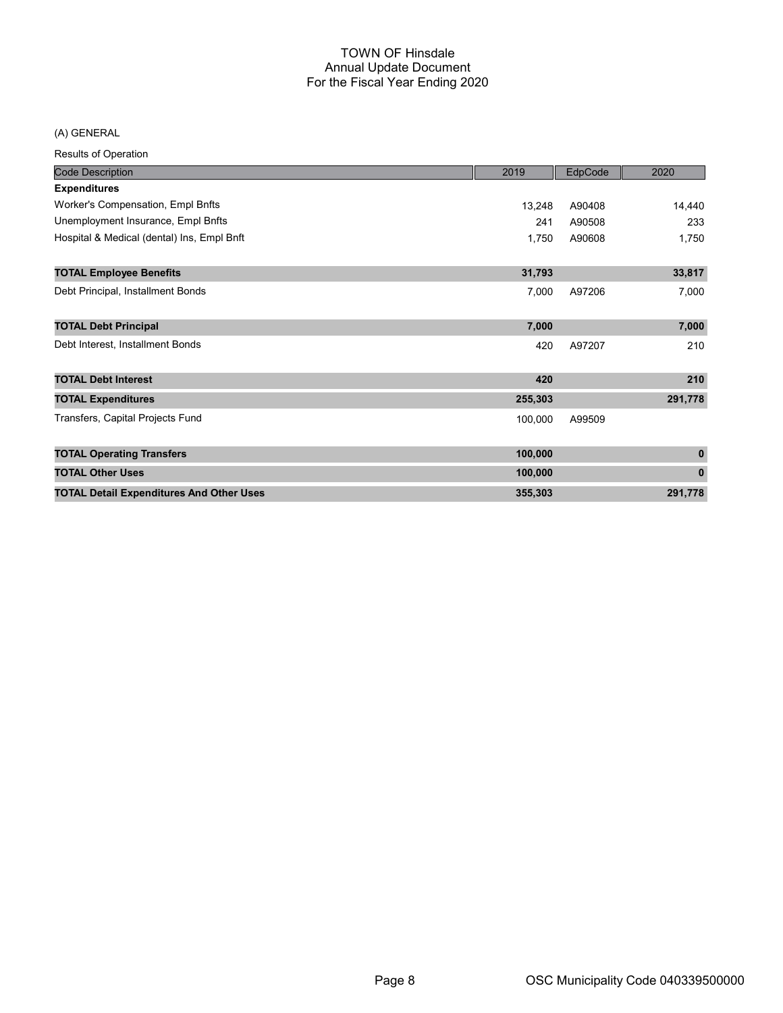## (A) GENERAL

| <b>Code Description</b>                         | 2019    | EdpCode | 2020         |
|-------------------------------------------------|---------|---------|--------------|
| <b>Expenditures</b>                             |         |         |              |
| Worker's Compensation, Empl Bnfts               | 13,248  | A90408  | 14,440       |
| Unemployment Insurance, Empl Bnfts              | 241     | A90508  | 233          |
| Hospital & Medical (dental) Ins, Empl Bnft      | 1,750   | A90608  | 1,750        |
| <b>TOTAL Employee Benefits</b>                  | 31,793  |         | 33,817       |
| Debt Principal, Installment Bonds               | 7,000   | A97206  | 7,000        |
| <b>TOTAL Debt Principal</b>                     | 7,000   |         | 7,000        |
| Debt Interest, Installment Bonds                | 420     | A97207  | 210          |
| <b>TOTAL Debt Interest</b>                      | 420     |         | 210          |
| <b>TOTAL Expenditures</b>                       | 255,303 |         | 291,778      |
| Transfers, Capital Projects Fund                | 100,000 | A99509  |              |
| <b>TOTAL Operating Transfers</b>                | 100,000 |         | $\mathbf{0}$ |
| <b>TOTAL Other Uses</b>                         | 100,000 |         | $\bf{0}$     |
| <b>TOTAL Detail Expenditures And Other Uses</b> | 355,303 |         | 291,778      |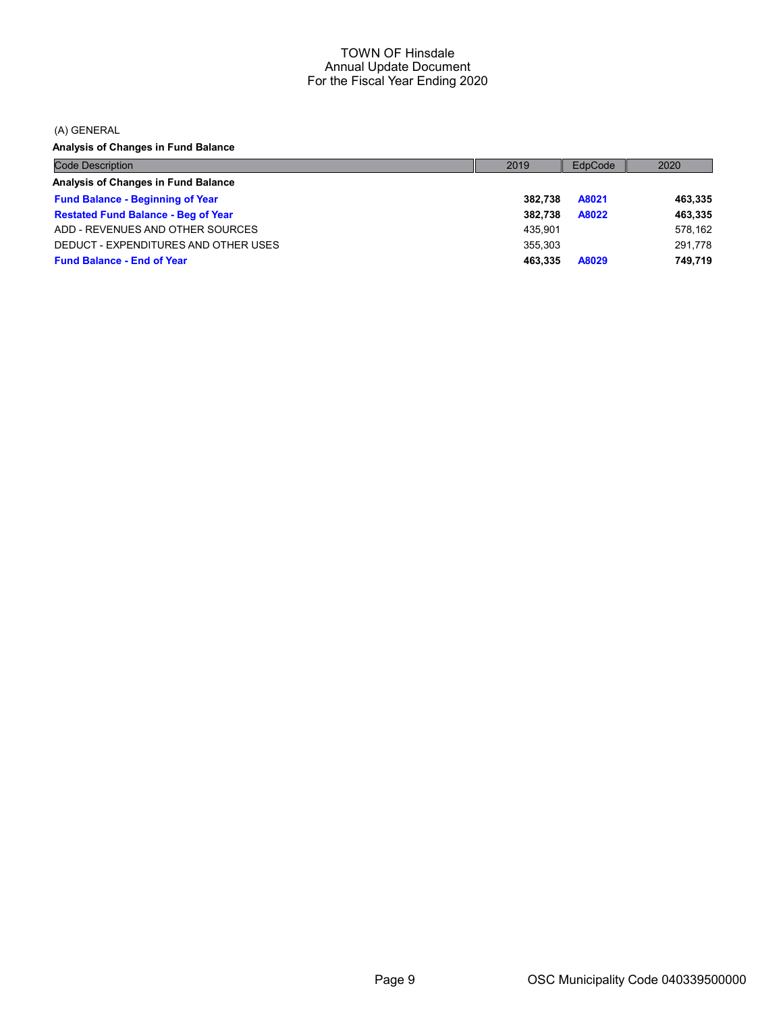(A) GENERAL

Analysis of Changes in Fund Balance

| <b>Code Description</b>                    | 2019    | EdpCode | 2020    |
|--------------------------------------------|---------|---------|---------|
| Analysis of Changes in Fund Balance        |         |         |         |
| <b>Fund Balance - Beginning of Year</b>    | 382.738 | A8021   | 463,335 |
| <b>Restated Fund Balance - Beg of Year</b> | 382.738 | A8022   | 463,335 |
| ADD - REVENUES AND OTHER SOURCES           | 435.901 |         | 578,162 |
| DEDUCT - EXPENDITURES AND OTHER USES       | 355.303 |         | 291,778 |
| <b>Fund Balance - End of Year</b>          | 463.335 | A8029   | 749.719 |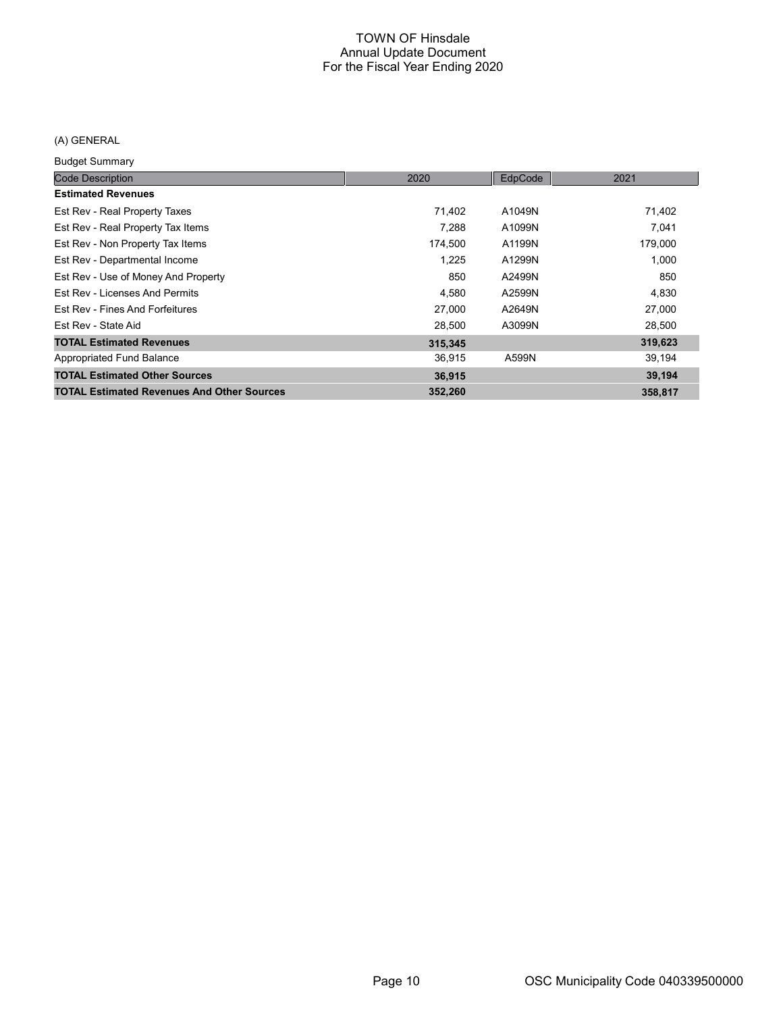## (A) GENERAL

Budget Summary

| <b>Code Description</b>                           | 2020    | EdpCode | 2021    |
|---------------------------------------------------|---------|---------|---------|
| <b>Estimated Revenues</b>                         |         |         |         |
| Est Rev - Real Property Taxes                     | 71,402  | A1049N  | 71,402  |
| Est Rev - Real Property Tax Items                 | 7.288   | A1099N  | 7.041   |
| Est Rev - Non Property Tax Items                  | 174,500 | A1199N  | 179,000 |
| Est Rev - Departmental Income                     | 1,225   | A1299N  | 1,000   |
| Est Rev - Use of Money And Property               | 850     | A2499N  | 850     |
| Est Rev - Licenses And Permits                    | 4,580   | A2599N  | 4,830   |
| Est Rev - Fines And Forfeitures                   | 27,000  | A2649N  | 27,000  |
| Est Rev - State Aid                               | 28,500  | A3099N  | 28,500  |
| <b>TOTAL Estimated Revenues</b>                   | 315,345 |         | 319,623 |
| Appropriated Fund Balance                         | 36,915  | A599N   | 39,194  |
| <b>TOTAL Estimated Other Sources</b>              | 36,915  |         | 39,194  |
| <b>TOTAL Estimated Revenues And Other Sources</b> | 352,260 |         | 358,817 |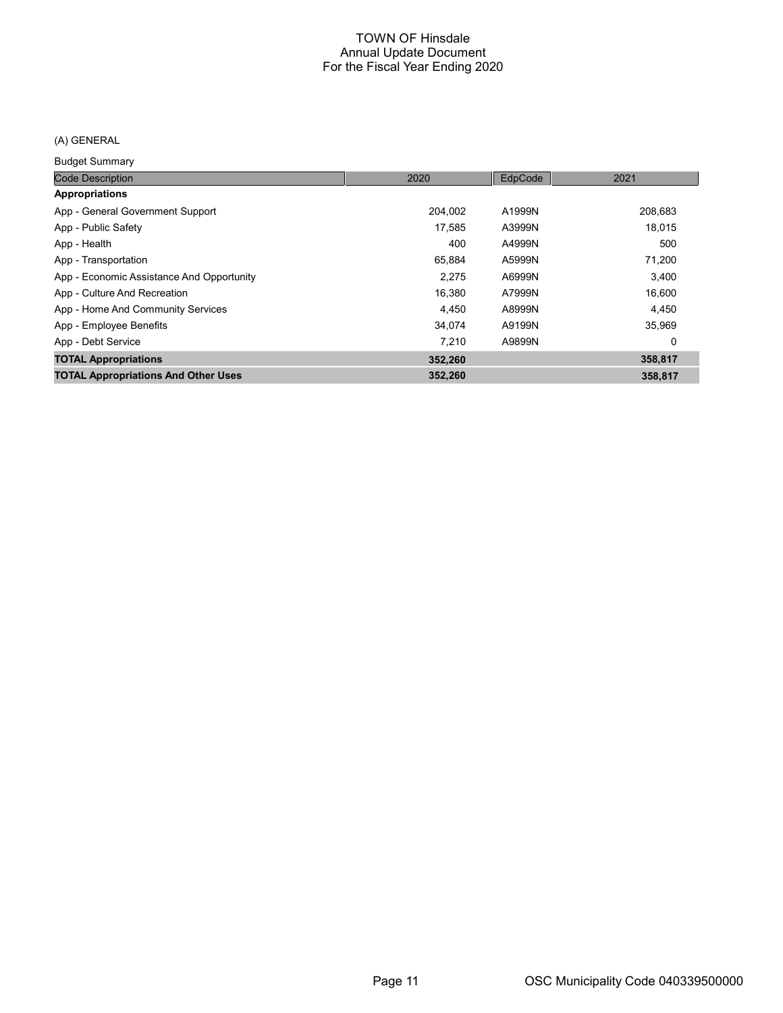## (A) GENERAL

Budget Summary

| <b>Code Description</b>                    | 2020    | EdpCode | 2021    |
|--------------------------------------------|---------|---------|---------|
| <b>Appropriations</b>                      |         |         |         |
| App - General Government Support           | 204.002 | A1999N  | 208,683 |
| App - Public Safety                        | 17.585  | A3999N  | 18,015  |
| App - Health                               | 400     | A4999N  | 500     |
| App - Transportation                       | 65,884  | A5999N  | 71,200  |
| App - Economic Assistance And Opportunity  | 2,275   | A6999N  | 3,400   |
| App - Culture And Recreation               | 16.380  | A7999N  | 16,600  |
| App - Home And Community Services          | 4.450   | A8999N  | 4,450   |
| App - Employee Benefits                    | 34,074  | A9199N  | 35,969  |
| App - Debt Service                         | 7.210   | A9899N  | 0       |
| <b>TOTAL Appropriations</b>                | 352,260 |         | 358,817 |
| <b>TOTAL Appropriations And Other Uses</b> | 352,260 |         | 358.817 |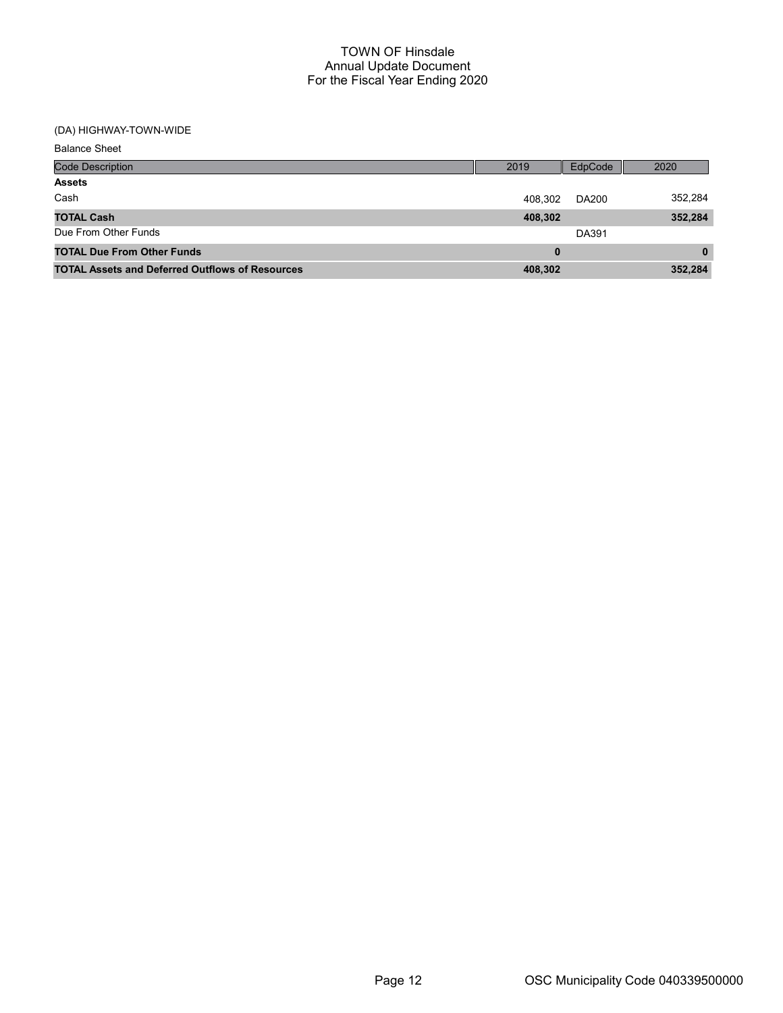## (DA) HIGHWAY-TOWN-WIDE

| <b>Balance Sheet</b>                                   |         |         |              |
|--------------------------------------------------------|---------|---------|--------------|
| <b>Code Description</b>                                | 2019    | EdpCode | 2020         |
| <b>Assets</b>                                          |         |         |              |
| Cash                                                   | 408,302 | DA200   | 352,284      |
| <b>TOTAL Cash</b>                                      | 408,302 |         | 352,284      |
| Due From Other Funds                                   |         | DA391   |              |
| <b>TOTAL Due From Other Funds</b>                      | 0       |         | $\mathbf{0}$ |
| <b>TOTAL Assets and Deferred Outflows of Resources</b> | 408,302 |         | 352,284      |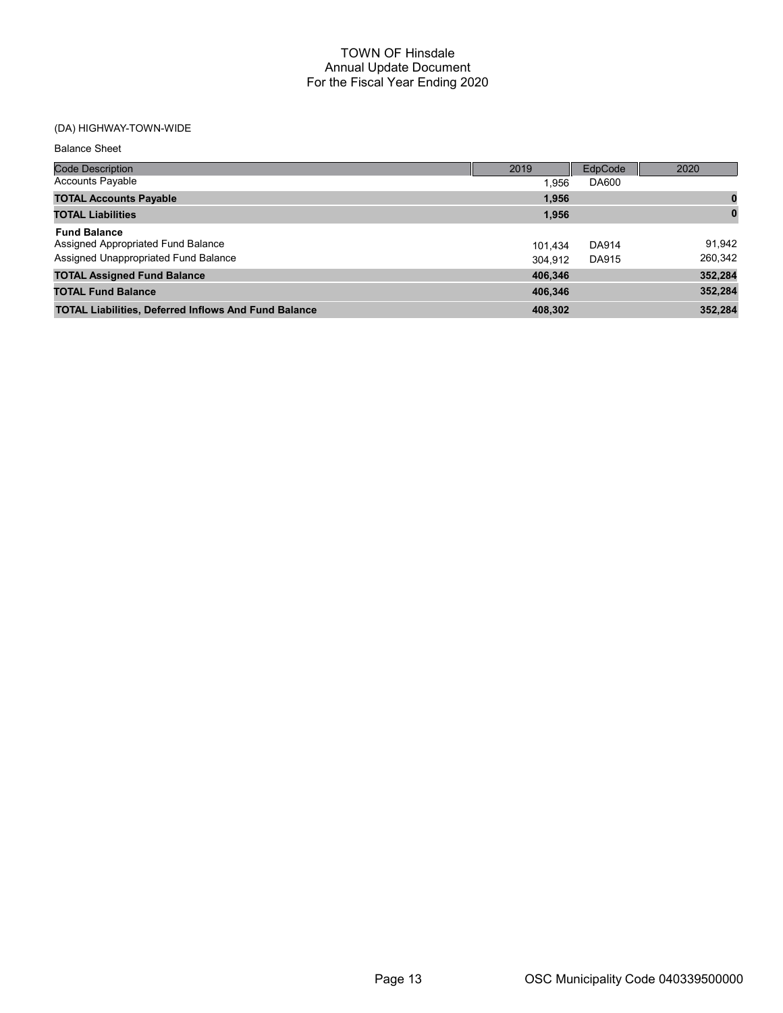## (DA) HIGHWAY-TOWN-WIDE

Balance Sheet

| <b>Code Description</b>                                                                           | 2019               | EdpCode               | 2020              |
|---------------------------------------------------------------------------------------------------|--------------------|-----------------------|-------------------|
| <b>Accounts Payable</b>                                                                           | 1.956              | DA600                 |                   |
| <b>TOTAL Accounts Payable</b>                                                                     | 1.956              |                       |                   |
| <b>TOTAL Liabilities</b>                                                                          | 1,956              |                       | $\bf{0}$          |
| <b>Fund Balance</b><br>Assigned Appropriated Fund Balance<br>Assigned Unappropriated Fund Balance | 101.434<br>304.912 | <b>DA914</b><br>DA915 | 91,942<br>260,342 |
| <b>TOTAL Assigned Fund Balance</b>                                                                | 406,346            |                       | 352,284           |
| <b>TOTAL Fund Balance</b>                                                                         | 406,346            |                       | 352,284           |
| <b>TOTAL Liabilities, Deferred Inflows And Fund Balance</b>                                       | 408.302            |                       | 352.284           |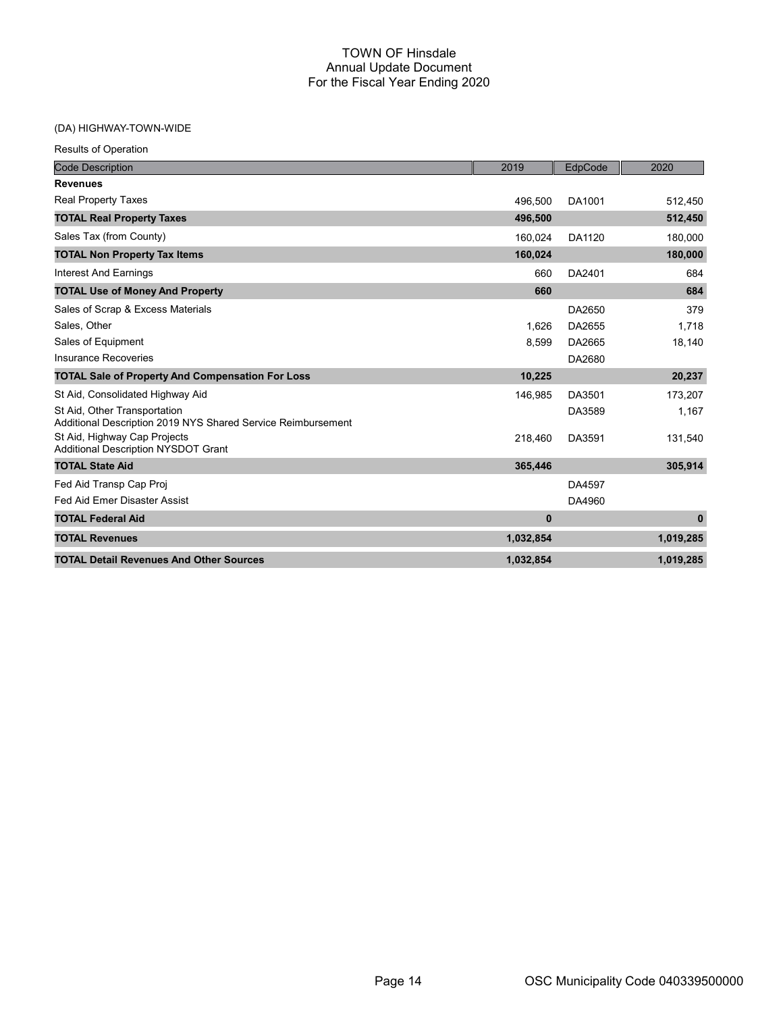## (DA) HIGHWAY-TOWN-WIDE

| <b>Results of Operation</b>                                                                  |           |         |              |
|----------------------------------------------------------------------------------------------|-----------|---------|--------------|
| <b>Code Description</b>                                                                      | 2019      | EdpCode | 2020         |
| <b>Revenues</b>                                                                              |           |         |              |
| <b>Real Property Taxes</b>                                                                   | 496,500   | DA1001  | 512,450      |
| <b>TOTAL Real Property Taxes</b>                                                             | 496,500   |         | 512,450      |
| Sales Tax (from County)                                                                      | 160,024   | DA1120  | 180,000      |
| <b>TOTAL Non Property Tax Items</b>                                                          | 160,024   |         | 180,000      |
| <b>Interest And Earnings</b>                                                                 | 660       | DA2401  | 684          |
| <b>TOTAL Use of Money And Property</b>                                                       | 660       |         | 684          |
| Sales of Scrap & Excess Materials                                                            |           | DA2650  | 379          |
| Sales, Other                                                                                 | 1.626     | DA2655  | 1.718        |
| Sales of Equipment                                                                           | 8,599     | DA2665  | 18,140       |
| <b>Insurance Recoveries</b>                                                                  |           | DA2680  |              |
| <b>TOTAL Sale of Property And Compensation For Loss</b>                                      | 10,225    |         | 20,237       |
| St Aid, Consolidated Highway Aid                                                             | 146,985   | DA3501  | 173,207      |
| St Aid, Other Transportation<br>Additional Description 2019 NYS Shared Service Reimbursement |           | DA3589  | 1,167        |
| St Aid, Highway Cap Projects<br><b>Additional Description NYSDOT Grant</b>                   | 218,460   | DA3591  | 131,540      |
| <b>TOTAL State Aid</b>                                                                       | 365,446   |         | 305,914      |
| Fed Aid Transp Cap Proj                                                                      |           | DA4597  |              |
| Fed Aid Emer Disaster Assist                                                                 |           | DA4960  |              |
| <b>TOTAL Federal Aid</b>                                                                     | $\bf{0}$  |         | $\mathbf{0}$ |
| <b>TOTAL Revenues</b>                                                                        | 1,032,854 |         | 1,019,285    |
| <b>TOTAL Detail Revenues And Other Sources</b>                                               | 1,032,854 |         | 1,019,285    |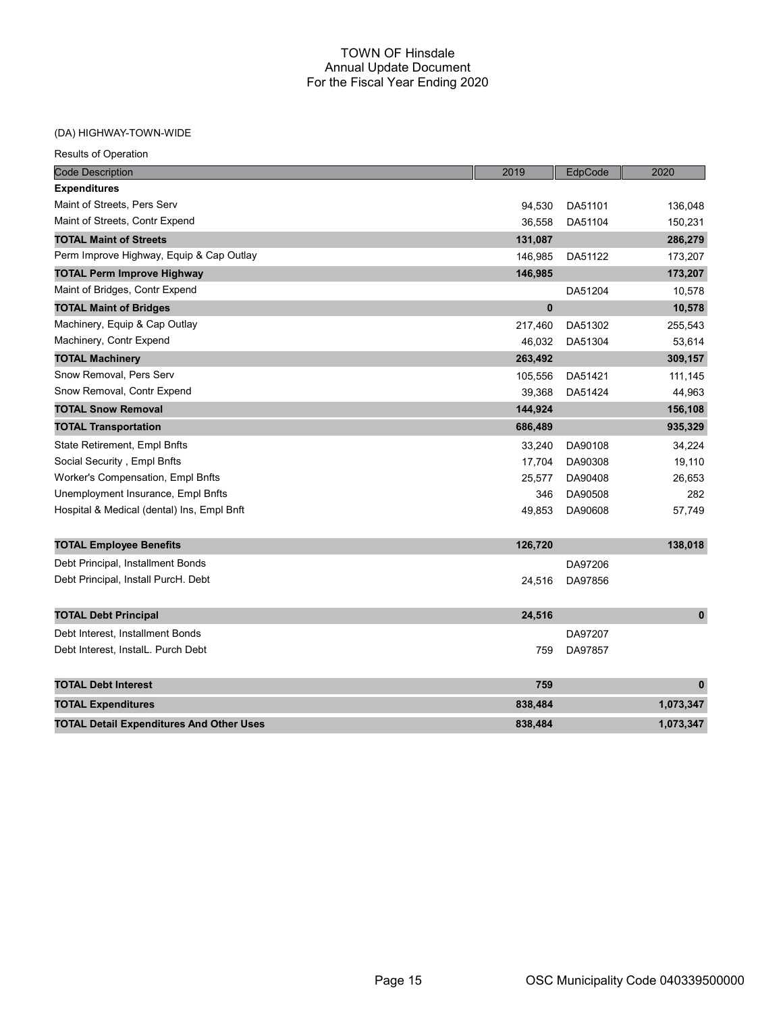## (DA) HIGHWAY-TOWN-WIDE

| <b>Code Description</b>                         | 2019     | EdpCode | 2020         |
|-------------------------------------------------|----------|---------|--------------|
| <b>Expenditures</b>                             |          |         |              |
| Maint of Streets, Pers Serv                     | 94,530   | DA51101 | 136,048      |
| Maint of Streets, Contr Expend                  | 36,558   | DA51104 | 150,231      |
| <b>TOTAL Maint of Streets</b>                   | 131,087  |         | 286,279      |
| Perm Improve Highway, Equip & Cap Outlay        | 146,985  | DA51122 | 173,207      |
| <b>TOTAL Perm Improve Highway</b>               | 146,985  |         | 173,207      |
| Maint of Bridges, Contr Expend                  |          | DA51204 | 10,578       |
| <b>TOTAL Maint of Bridges</b>                   | $\bf{0}$ |         | 10,578       |
| Machinery, Equip & Cap Outlay                   | 217,460  | DA51302 | 255,543      |
| Machinery, Contr Expend                         | 46,032   | DA51304 | 53,614       |
| <b>TOTAL Machinery</b>                          | 263,492  |         | 309,157      |
| Snow Removal, Pers Serv                         | 105,556  | DA51421 | 111,145      |
| Snow Removal, Contr Expend                      | 39,368   | DA51424 | 44,963       |
| <b>TOTAL Snow Removal</b>                       | 144,924  |         | 156,108      |
| <b>TOTAL Transportation</b>                     | 686,489  |         | 935,329      |
| State Retirement, Empl Bnfts                    | 33,240   | DA90108 | 34,224       |
| Social Security, Empl Bnfts                     | 17,704   | DA90308 | 19,110       |
| Worker's Compensation, Empl Bnfts               | 25,577   | DA90408 | 26,653       |
| Unemployment Insurance, Empl Bnfts              | 346      | DA90508 | 282          |
| Hospital & Medical (dental) Ins, Empl Bnft      | 49,853   | DA90608 | 57,749       |
| <b>TOTAL Employee Benefits</b>                  | 126,720  |         | 138,018      |
| Debt Principal, Installment Bonds               |          | DA97206 |              |
| Debt Principal, Install PurcH. Debt             | 24,516   | DA97856 |              |
| <b>TOTAL Debt Principal</b>                     | 24,516   |         | $\mathbf{0}$ |
| Debt Interest, Installment Bonds                |          | DA97207 |              |
| Debt Interest, InstalL. Purch Debt              | 759      | DA97857 |              |
| <b>TOTAL Debt Interest</b>                      | 759      |         | $\mathbf{0}$ |
| <b>TOTAL Expenditures</b>                       | 838,484  |         | 1,073,347    |
| <b>TOTAL Detail Expenditures And Other Uses</b> | 838,484  |         | 1,073,347    |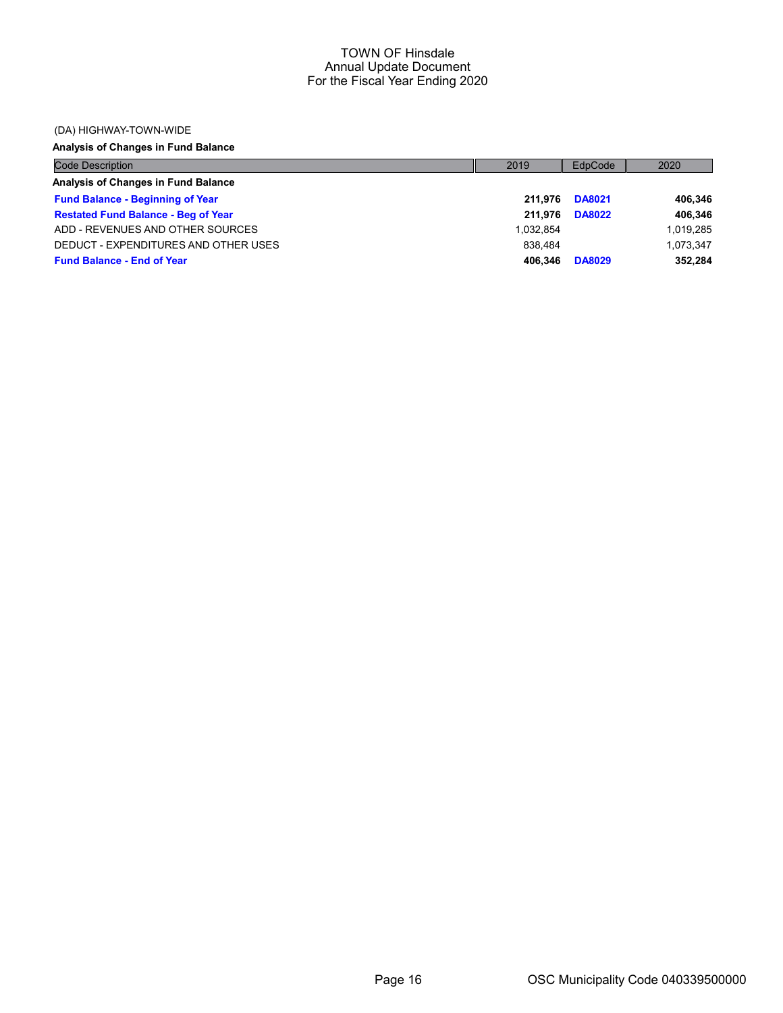#### (DA) HIGHWAY-TOWN-WIDE

## Analysis of Changes in Fund Balance

| <b>Code Description</b>                    | 2019      | EdpCode       | 2020      |
|--------------------------------------------|-----------|---------------|-----------|
| Analysis of Changes in Fund Balance        |           |               |           |
| <b>Fund Balance - Beginning of Year</b>    | 211.976   | <b>DA8021</b> | 406,346   |
| <b>Restated Fund Balance - Beg of Year</b> | 211.976   | <b>DA8022</b> | 406,346   |
| ADD - REVENUES AND OTHER SOURCES           | 1.032.854 |               | 1,019,285 |
| DEDUCT - EXPENDITURES AND OTHER USES       | 838.484   |               | 1.073.347 |
| <b>Fund Balance - End of Year</b>          | 406.346   | <b>DA8029</b> | 352,284   |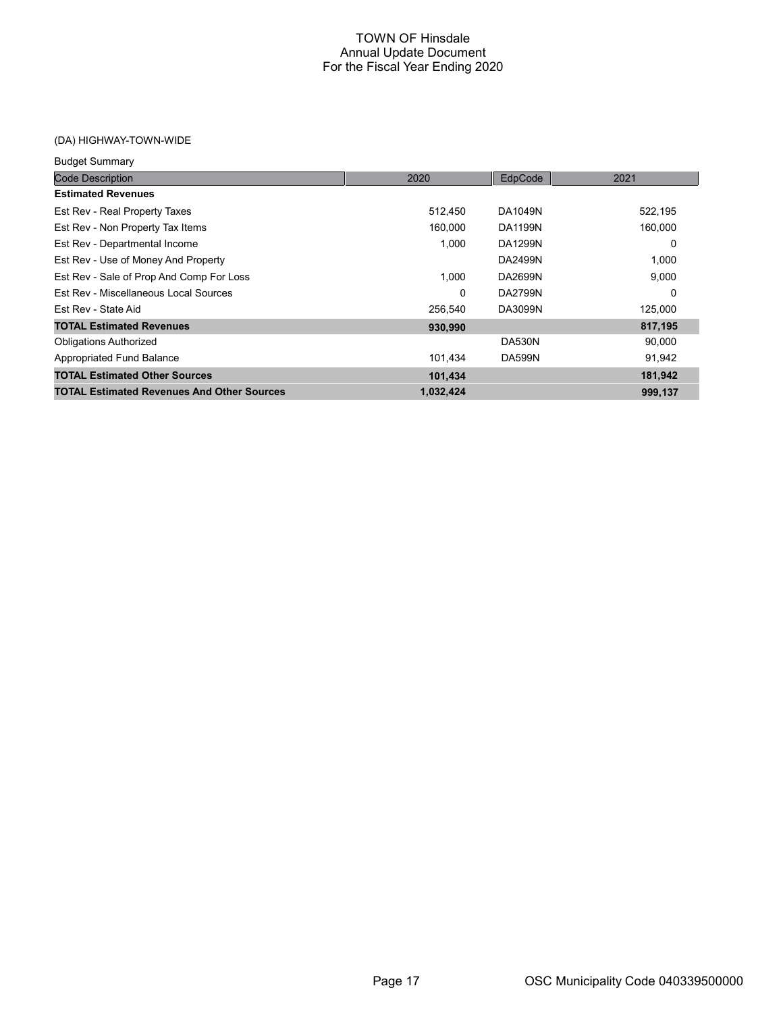## (DA) HIGHWAY-TOWN-WIDE

| <b>Budget Summary</b>                             |           |                |         |
|---------------------------------------------------|-----------|----------------|---------|
| <b>Code Description</b>                           | 2020      | EdpCode        | 2021    |
| <b>Estimated Revenues</b>                         |           |                |         |
| Est Rev - Real Property Taxes                     | 512,450   | DA1049N        | 522,195 |
| Est Rev - Non Property Tax Items                  | 160,000   | <b>DA1199N</b> | 160,000 |
| Est Rev - Departmental Income                     | 1,000     | DA1299N        | 0       |
| Est Rev - Use of Money And Property               |           | DA2499N        | 1,000   |
| Est Rev - Sale of Prop And Comp For Loss          | 1,000     | DA2699N        | 9,000   |
| Est Rev - Miscellaneous Local Sources             | 0         | DA2799N        | 0       |
| Est Rev - State Aid                               | 256,540   | DA3099N        | 125,000 |
| <b>TOTAL Estimated Revenues</b>                   | 930,990   |                | 817,195 |
| <b>Obligations Authorized</b>                     |           | <b>DA530N</b>  | 90,000  |
| <b>Appropriated Fund Balance</b>                  | 101,434   | <b>DA599N</b>  | 91,942  |
| <b>TOTAL Estimated Other Sources</b>              | 101,434   |                | 181,942 |
| <b>TOTAL Estimated Revenues And Other Sources</b> | 1,032,424 |                | 999,137 |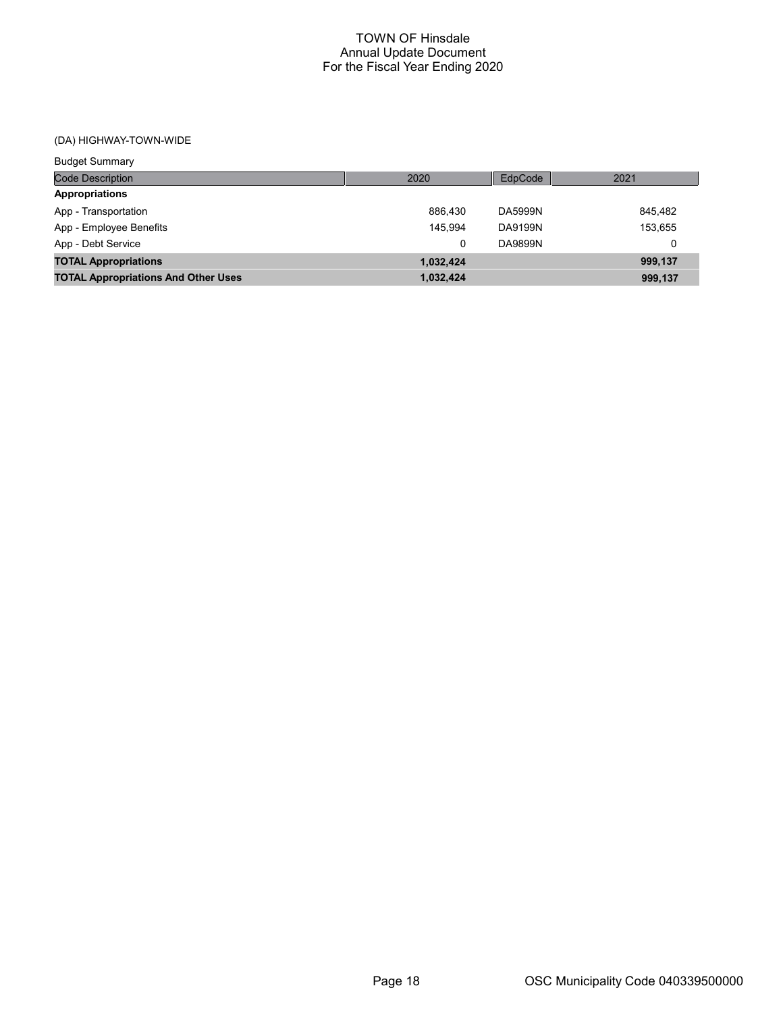## (DA) HIGHWAY-TOWN-WIDE

| <b>Budget Summary</b>                      |           |         |         |
|--------------------------------------------|-----------|---------|---------|
| <b>Code Description</b>                    | 2020      | EdpCode | 2021    |
| <b>Appropriations</b>                      |           |         |         |
| App - Transportation                       | 886.430   | DA5999N | 845.482 |
| App - Employee Benefits                    | 145.994   | DA9199N | 153,655 |
| App - Debt Service                         | 0         | DA9899N | 0       |
| <b>TOTAL Appropriations</b>                | 1,032,424 |         | 999,137 |
| <b>TOTAL Appropriations And Other Uses</b> | 1,032,424 |         | 999,137 |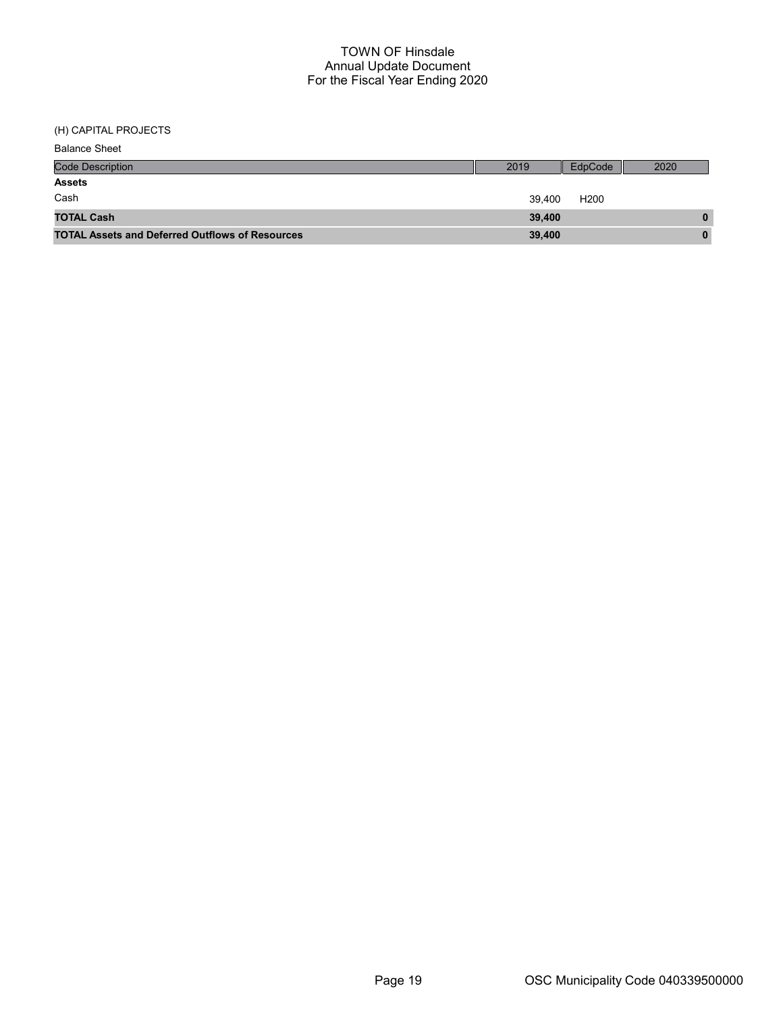(H) CAPITAL PROJECTS

| <b>Balance Sheet</b>                                   |        |                  |      |
|--------------------------------------------------------|--------|------------------|------|
| <b>Code Description</b>                                | 2019   | EdpCode          | 2020 |
| <b>Assets</b>                                          |        |                  |      |
| Cash                                                   | 39.400 | H <sub>200</sub> |      |
| <b>TOTAL Cash</b>                                      | 39.400 |                  | 0    |
| <b>TOTAL Assets and Deferred Outflows of Resources</b> | 39,400 |                  | 0    |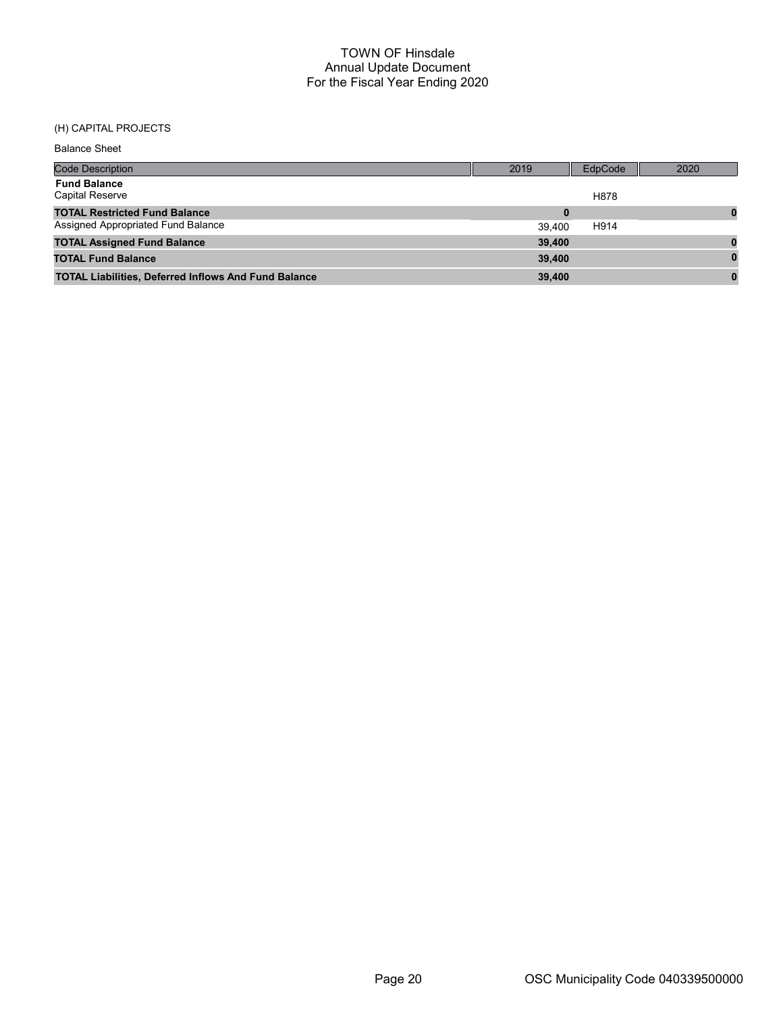## (H) CAPITAL PROJECTS

| <b>Balance Sheet</b>                                        |          |         |      |
|-------------------------------------------------------------|----------|---------|------|
| <b>Code Description</b>                                     | 2019     | EdpCode | 2020 |
| <b>Fund Balance</b><br><b>Capital Reserve</b>               |          | H878    |      |
| <b>TOTAL Restricted Fund Balance</b>                        | $\bf{0}$ |         |      |
| Assigned Appropriated Fund Balance                          | 39.400   | H914    |      |
| <b>TOTAL Assigned Fund Balance</b>                          | 39,400   |         |      |
| <b>TOTAL Fund Balance</b>                                   | 39,400   |         |      |
| <b>TOTAL Liabilities, Deferred Inflows And Fund Balance</b> | 39,400   |         |      |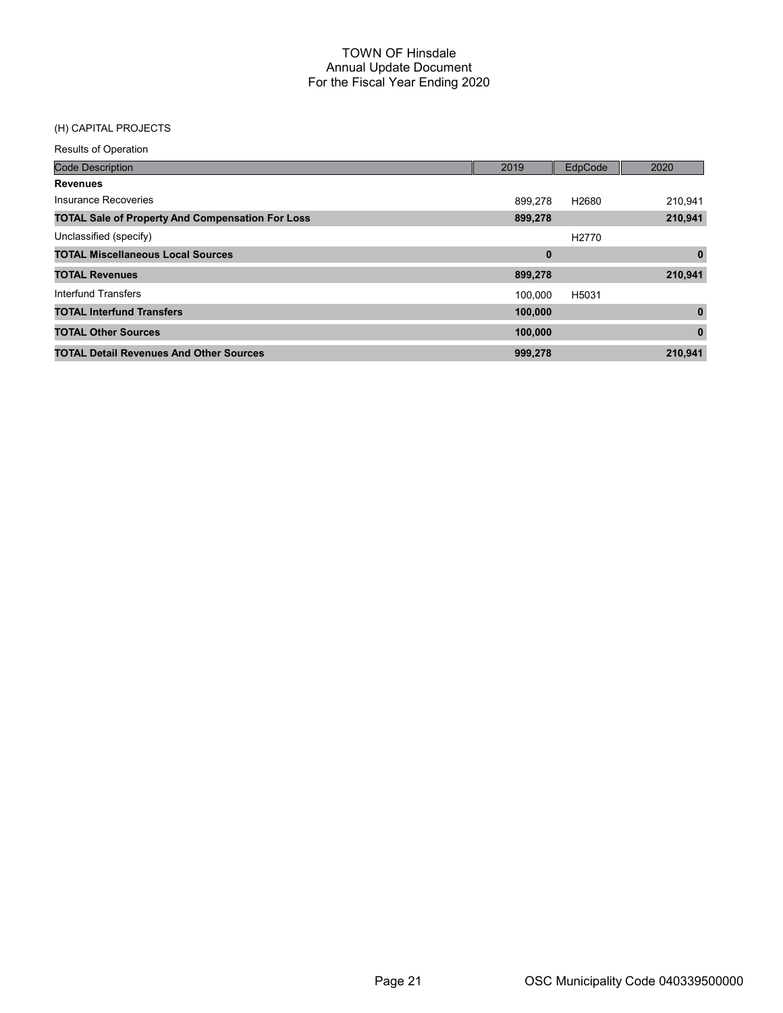## (H) CAPITAL PROJECTS

| <b>Code Description</b>                                 | 2019     | EdpCode           | 2020     |
|---------------------------------------------------------|----------|-------------------|----------|
| <b>Revenues</b>                                         |          |                   |          |
| Insurance Recoveries                                    | 899.278  | H2680             | 210,941  |
| <b>TOTAL Sale of Property And Compensation For Loss</b> | 899,278  |                   | 210,941  |
| Unclassified (specify)                                  |          | H <sub>2770</sub> |          |
| <b>TOTAL Miscellaneous Local Sources</b>                | $\bf{0}$ |                   | $\bf{0}$ |
| <b>TOTAL Revenues</b>                                   | 899,278  |                   | 210,941  |
| Interfund Transfers                                     | 100.000  | H5031             |          |
| <b>TOTAL Interfund Transfers</b>                        | 100,000  |                   | $\bf{0}$ |
| <b>TOTAL Other Sources</b>                              | 100,000  |                   | $\bf{0}$ |
| <b>TOTAL Detail Revenues And Other Sources</b>          | 999,278  |                   | 210,941  |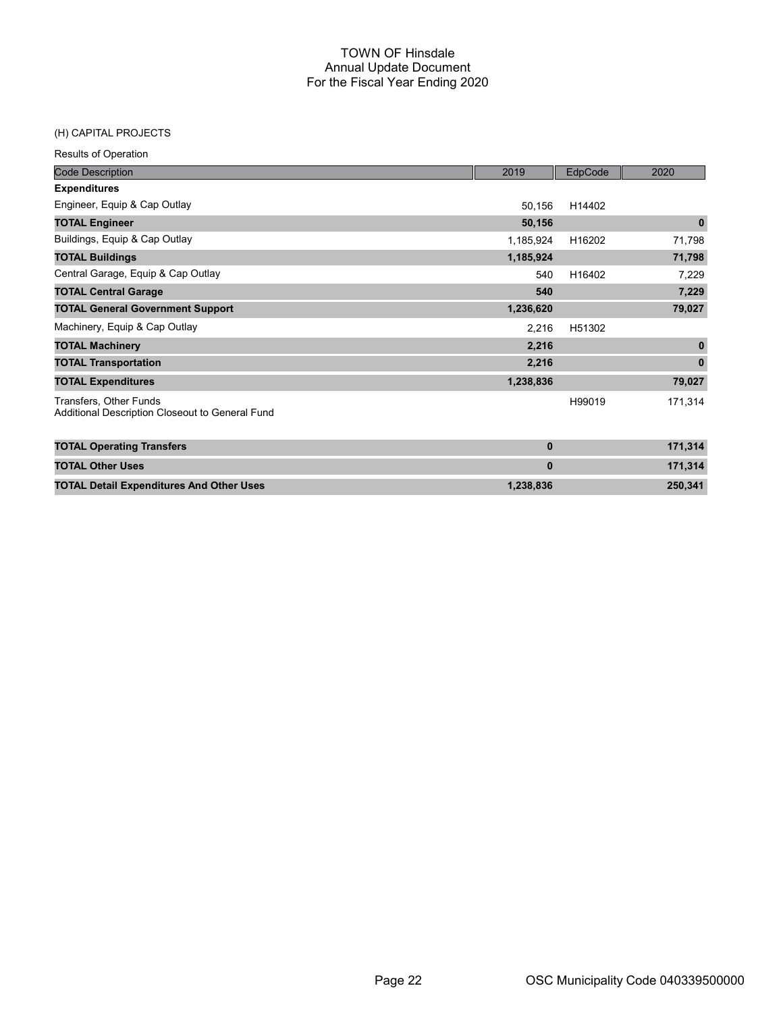#### (H) CAPITAL PROJECTS

| <b>Code Description</b>                                                   | 2019         | EdpCode | 2020         |
|---------------------------------------------------------------------------|--------------|---------|--------------|
| <b>Expenditures</b>                                                       |              |         |              |
| Engineer, Equip & Cap Outlay                                              | 50,156       | H14402  |              |
| <b>TOTAL Engineer</b>                                                     | 50,156       |         | $\mathbf 0$  |
| Buildings, Equip & Cap Outlay                                             | 1,185,924    | H16202  | 71,798       |
| <b>TOTAL Buildings</b>                                                    | 1,185,924    |         | 71,798       |
| Central Garage, Equip & Cap Outlay                                        | 540          | H16402  | 7,229        |
| <b>TOTAL Central Garage</b>                                               | 540          |         | 7,229        |
| <b>TOTAL General Government Support</b>                                   | 1,236,620    |         | 79,027       |
| Machinery, Equip & Cap Outlay                                             | 2,216        | H51302  |              |
| <b>TOTAL Machinery</b>                                                    | 2,216        |         | $\mathbf{0}$ |
| <b>TOTAL Transportation</b>                                               | 2,216        |         | $\mathbf{0}$ |
| <b>TOTAL Expenditures</b>                                                 | 1,238,836    |         | 79,027       |
| Transfers, Other Funds<br>Additional Description Closeout to General Fund |              | H99019  | 171,314      |
| <b>TOTAL Operating Transfers</b>                                          | $\mathbf{0}$ |         | 171,314      |
| <b>TOTAL Other Uses</b>                                                   | $\bf{0}$     |         | 171,314      |
| <b>TOTAL Detail Expenditures And Other Uses</b>                           | 1,238,836    |         | 250,341      |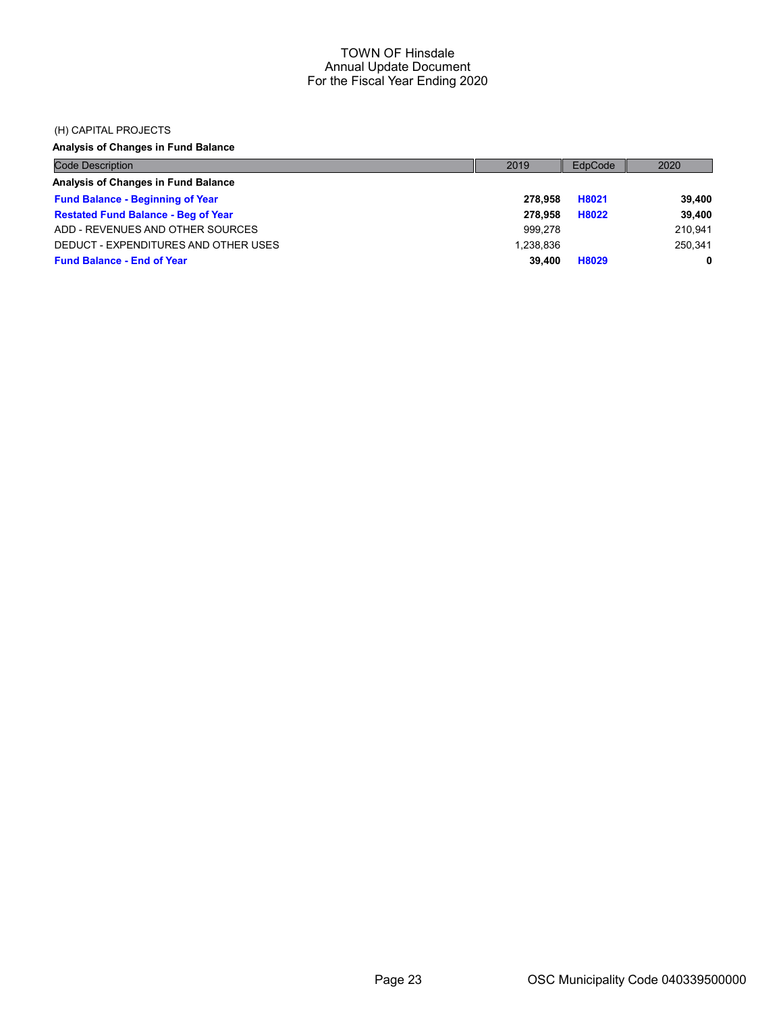#### (H) CAPITAL PROJECTS

## Analysis of Changes in Fund Balance

| <b>Code Description</b>                    | 2019      | EdpCode | 2020    |
|--------------------------------------------|-----------|---------|---------|
| Analysis of Changes in Fund Balance        |           |         |         |
| <b>Fund Balance - Beginning of Year</b>    | 278.958   | H8021   | 39,400  |
| <b>Restated Fund Balance - Beg of Year</b> | 278.958   | H8022   | 39,400  |
| ADD - REVENUES AND OTHER SOURCES           | 999.278   |         | 210.941 |
| DEDUCT - EXPENDITURES AND OTHER USES       | 1.238.836 |         | 250.341 |
| <b>Fund Balance - End of Year</b>          | 39,400    | H8029   | 0       |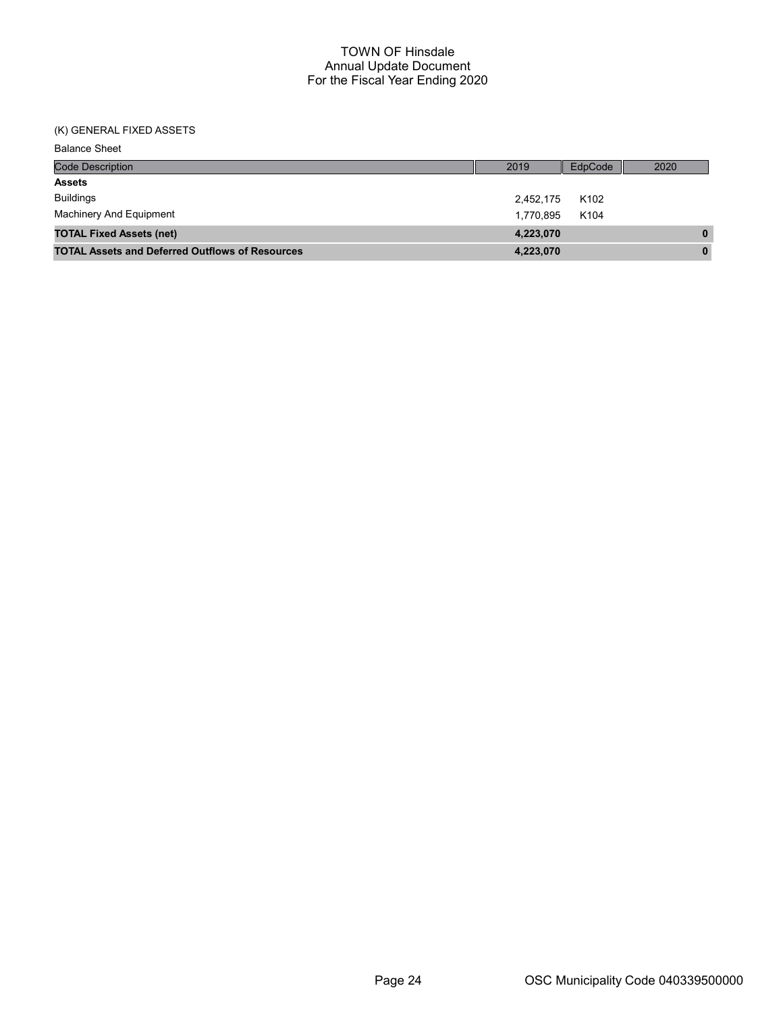## (K) GENERAL FIXED ASSETS

| <b>Balance Sheet</b>                                   |           |                  |              |
|--------------------------------------------------------|-----------|------------------|--------------|
| Code Description                                       | 2019      | EdpCode          | 2020         |
| <b>Assets</b>                                          |           |                  |              |
| <b>Buildings</b>                                       | 2,452,175 | K <sub>102</sub> |              |
| Machinery And Equipment                                | 1,770,895 | K104             |              |
| <b>TOTAL Fixed Assets (net)</b>                        | 4,223,070 |                  | $\mathbf{0}$ |
| <b>TOTAL Assets and Deferred Outflows of Resources</b> | 4,223,070 |                  | $\mathbf{0}$ |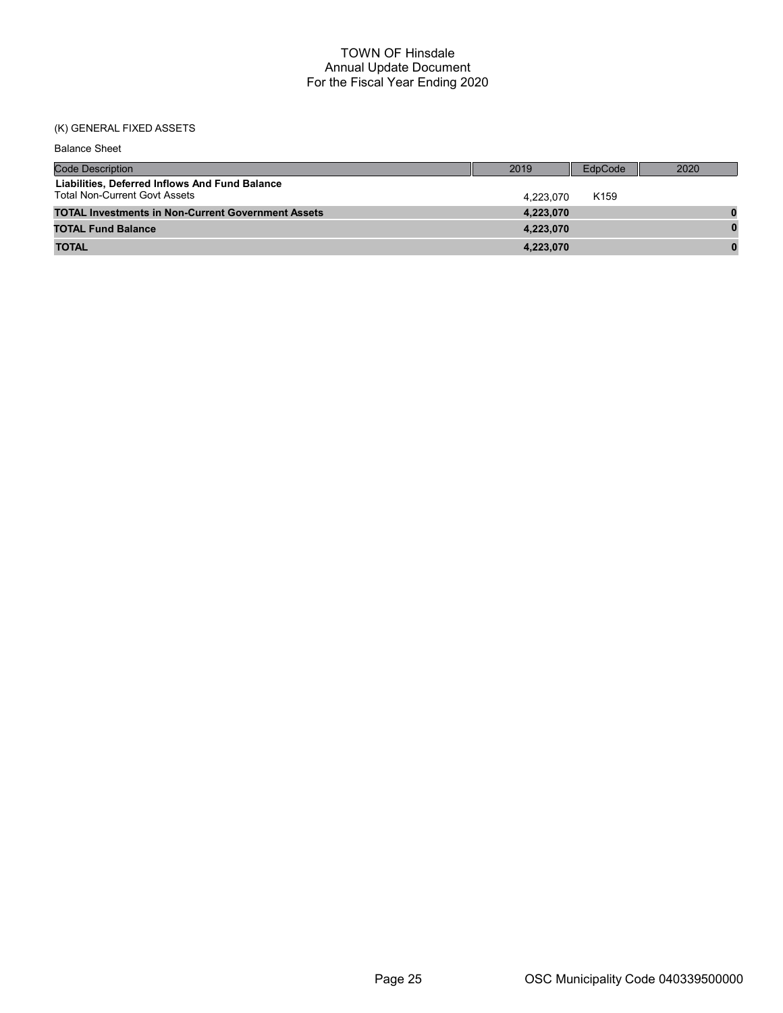## (K) GENERAL FIXED ASSETS

| <b>Balance Sheet</b>                                                                   |           |                  |      |
|----------------------------------------------------------------------------------------|-----------|------------------|------|
| <b>Code Description</b>                                                                | 2019      | EdpCode          | 2020 |
| Liabilities, Deferred Inflows And Fund Balance<br><b>Total Non-Current Govt Assets</b> | 4.223.070 | K <sub>159</sub> |      |
| <b>TOTAL Investments in Non-Current Government Assets</b>                              | 4,223,070 |                  |      |
| <b>TOTAL Fund Balance</b>                                                              | 4,223,070 |                  |      |
| <b>TOTAL</b>                                                                           | 4,223,070 |                  |      |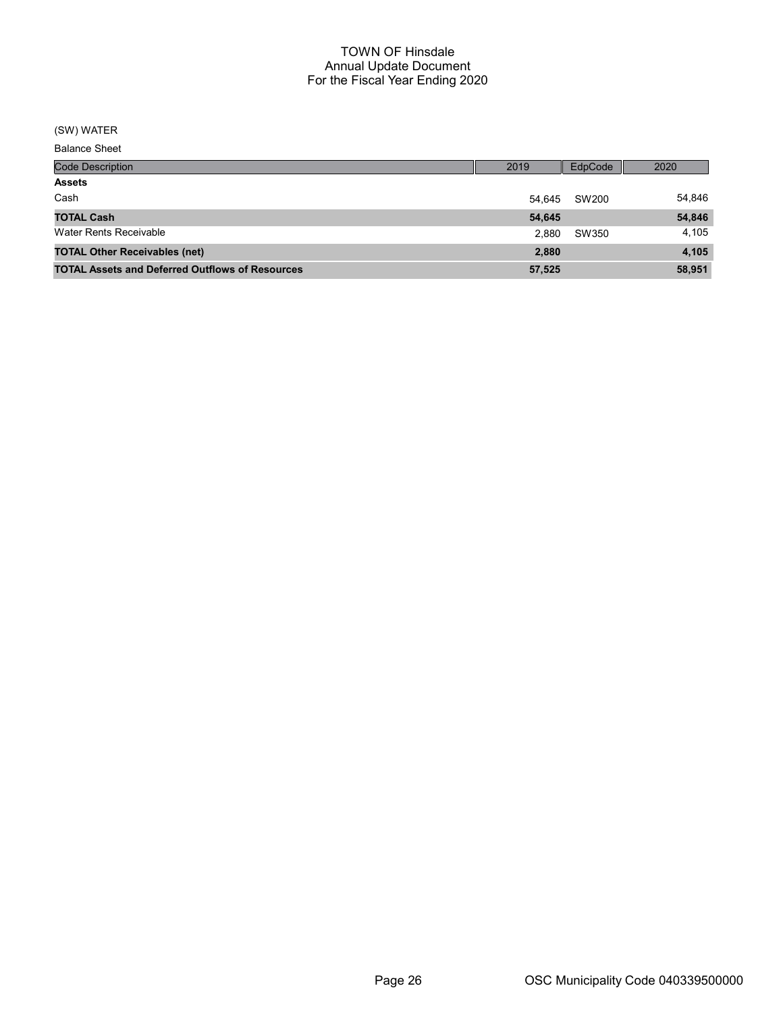## (SW) WATER

Balance Sheet

| <b>Code Description</b>                                | 2019   | EdpCode | 2020   |
|--------------------------------------------------------|--------|---------|--------|
| <b>Assets</b>                                          |        |         |        |
| Cash                                                   | 54.645 | SW200   | 54,846 |
| <b>TOTAL Cash</b>                                      | 54,645 |         | 54,846 |
| Water Rents Receivable                                 | 2.880  | SW350   | 4,105  |
| <b>TOTAL Other Receivables (net)</b>                   | 2,880  |         | 4,105  |
| <b>TOTAL Assets and Deferred Outflows of Resources</b> | 57,525 |         | 58,951 |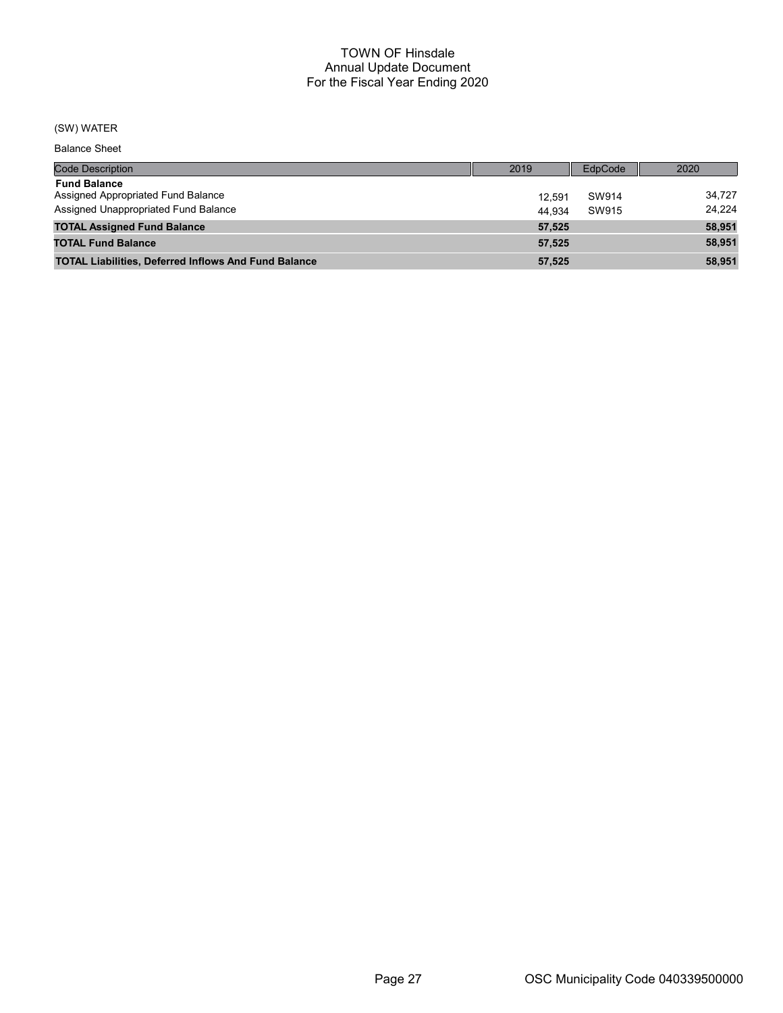## (SW) WATER

Balance Sheet

| <b>Code Description</b>                                     | 2019   | EdpCode | 2020   |
|-------------------------------------------------------------|--------|---------|--------|
| <b>Fund Balance</b><br>Assigned Appropriated Fund Balance   | 12.591 | SW914   | 34.727 |
| Assigned Unappropriated Fund Balance                        | 44.934 | SW915   | 24.224 |
| <b>TOTAL Assigned Fund Balance</b>                          | 57.525 |         | 58,951 |
| <b>TOTAL Fund Balance</b>                                   | 57.525 |         | 58.951 |
| <b>TOTAL Liabilities, Deferred Inflows And Fund Balance</b> | 57.525 |         | 58.951 |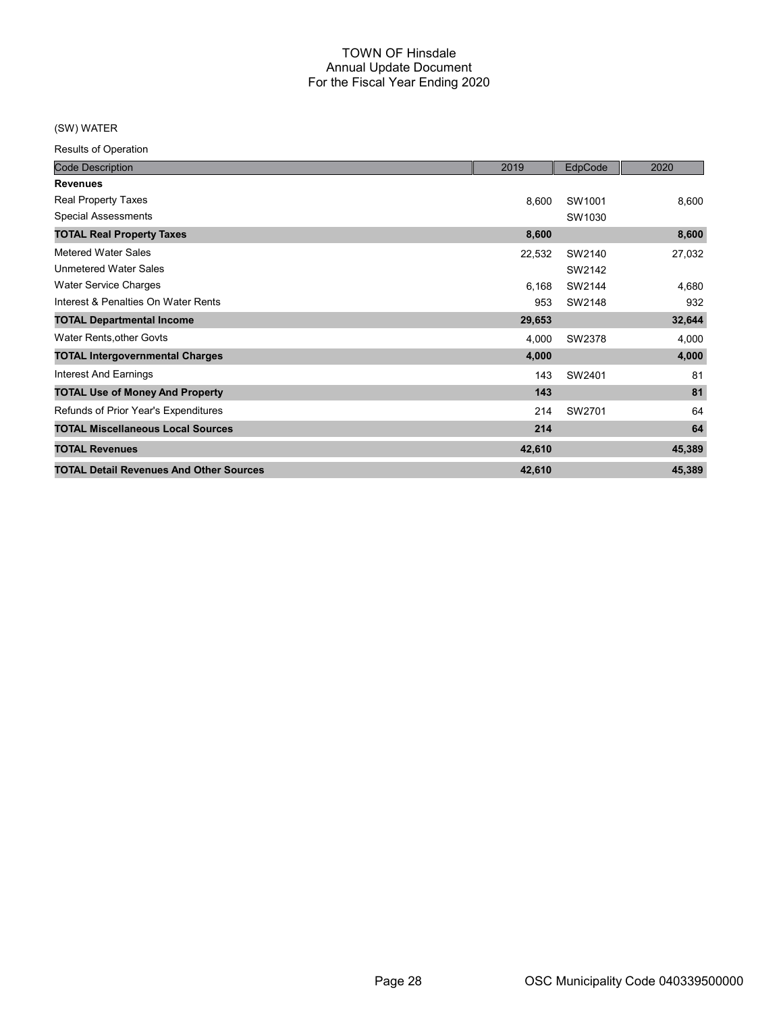## (SW) WATER

| <b>Code Description</b>                        | 2019   | EdpCode | 2020   |
|------------------------------------------------|--------|---------|--------|
| <b>Revenues</b>                                |        |         |        |
| Real Property Taxes                            | 8,600  | SW1001  | 8,600  |
| <b>Special Assessments</b>                     |        | SW1030  |        |
| <b>TOTAL Real Property Taxes</b>               | 8,600  |         | 8,600  |
| Metered Water Sales                            | 22,532 | SW2140  | 27,032 |
| <b>Unmetered Water Sales</b>                   |        | SW2142  |        |
| <b>Water Service Charges</b>                   | 6,168  | SW2144  | 4,680  |
| Interest & Penalties On Water Rents            | 953    | SW2148  | 932    |
| <b>TOTAL Departmental Income</b>               | 29,653 |         | 32,644 |
| Water Rents, other Govts                       | 4,000  | SW2378  | 4,000  |
| <b>TOTAL Intergovernmental Charges</b>         | 4,000  |         | 4,000  |
| <b>Interest And Earnings</b>                   | 143    | SW2401  | 81     |
| <b>TOTAL Use of Money And Property</b>         | 143    |         | 81     |
| Refunds of Prior Year's Expenditures           | 214    | SW2701  | 64     |
| <b>TOTAL Miscellaneous Local Sources</b>       | 214    |         | 64     |
| <b>TOTAL Revenues</b>                          | 42,610 |         | 45,389 |
| <b>TOTAL Detail Revenues And Other Sources</b> | 42,610 |         | 45,389 |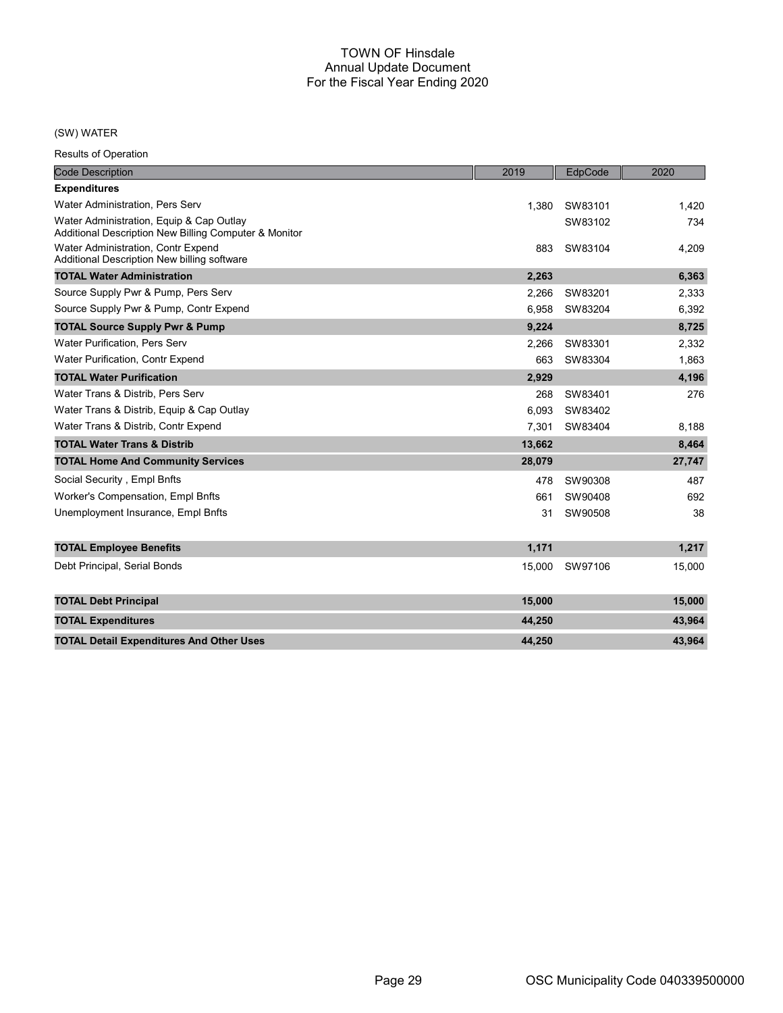## (SW) WATER

| <b>Code Description</b>                                                                           | 2019   | EdpCode | 2020   |
|---------------------------------------------------------------------------------------------------|--------|---------|--------|
| <b>Expenditures</b>                                                                               |        |         |        |
| <b>Water Administration, Pers Serv</b>                                                            | 1,380  | SW83101 | 1,420  |
| Water Administration, Equip & Cap Outlay<br>Additional Description New Billing Computer & Monitor |        | SW83102 | 734    |
| Water Administration, Contr Expend<br>Additional Description New billing software                 | 883    | SW83104 | 4,209  |
| <b>TOTAL Water Administration</b>                                                                 | 2,263  |         | 6,363  |
| Source Supply Pwr & Pump, Pers Serv                                                               | 2,266  | SW83201 | 2,333  |
| Source Supply Pwr & Pump, Contr Expend                                                            | 6.958  | SW83204 | 6,392  |
| <b>TOTAL Source Supply Pwr &amp; Pump</b>                                                         | 9,224  |         | 8,725  |
| <b>Water Purification, Pers Serv</b>                                                              | 2.266  | SW83301 | 2,332  |
| <b>Water Purification, Contr Expend</b>                                                           | 663    | SW83304 | 1,863  |
| <b>TOTAL Water Purification</b>                                                                   | 2,929  |         | 4,196  |
| Water Trans & Distrib, Pers Serv                                                                  | 268    | SW83401 | 276    |
| Water Trans & Distrib, Equip & Cap Outlay                                                         | 6.093  | SW83402 |        |
| Water Trans & Distrib, Contr Expend                                                               | 7,301  | SW83404 | 8,188  |
| <b>TOTAL Water Trans &amp; Distrib</b>                                                            | 13,662 |         | 8,464  |
| <b>TOTAL Home And Community Services</b>                                                          | 28,079 |         | 27,747 |
| Social Security, Empl Bnfts                                                                       | 478    | SW90308 | 487    |
| Worker's Compensation, Empl Bnfts                                                                 | 661    | SW90408 | 692    |
| Unemployment Insurance, Empl Bnfts                                                                | 31     | SW90508 | 38     |
| <b>TOTAL Employee Benefits</b>                                                                    | 1,171  |         | 1,217  |
| Debt Principal, Serial Bonds                                                                      | 15,000 | SW97106 | 15,000 |
| <b>TOTAL Debt Principal</b>                                                                       | 15,000 |         | 15,000 |
| <b>TOTAL Expenditures</b>                                                                         | 44,250 |         | 43,964 |
| <b>TOTAL Detail Expenditures And Other Uses</b>                                                   | 44,250 |         | 43,964 |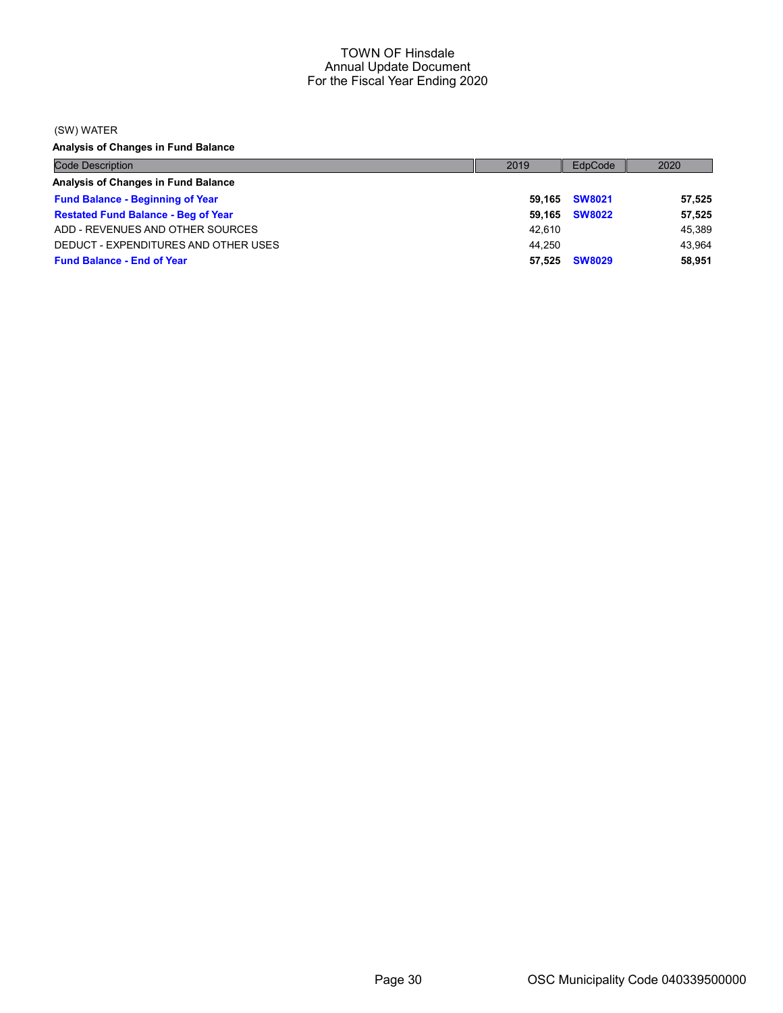(SW) WATER

Analysis of Changes in Fund Balance

| <b>Code Description</b>                    | 2019   | EdpCode       | 2020   |
|--------------------------------------------|--------|---------------|--------|
| Analysis of Changes in Fund Balance        |        |               |        |
| <b>Fund Balance - Beginning of Year</b>    |        | 59,165 SW8021 | 57,525 |
| <b>Restated Fund Balance - Beg of Year</b> | 59.165 | <b>SW8022</b> | 57,525 |
| ADD - REVENUES AND OTHER SOURCES           | 42.610 |               | 45,389 |
| DEDUCT - EXPENDITURES AND OTHER USES       | 44.250 |               | 43.964 |
| <b>Fund Balance - End of Year</b>          | 57.525 | <b>SW8029</b> | 58,951 |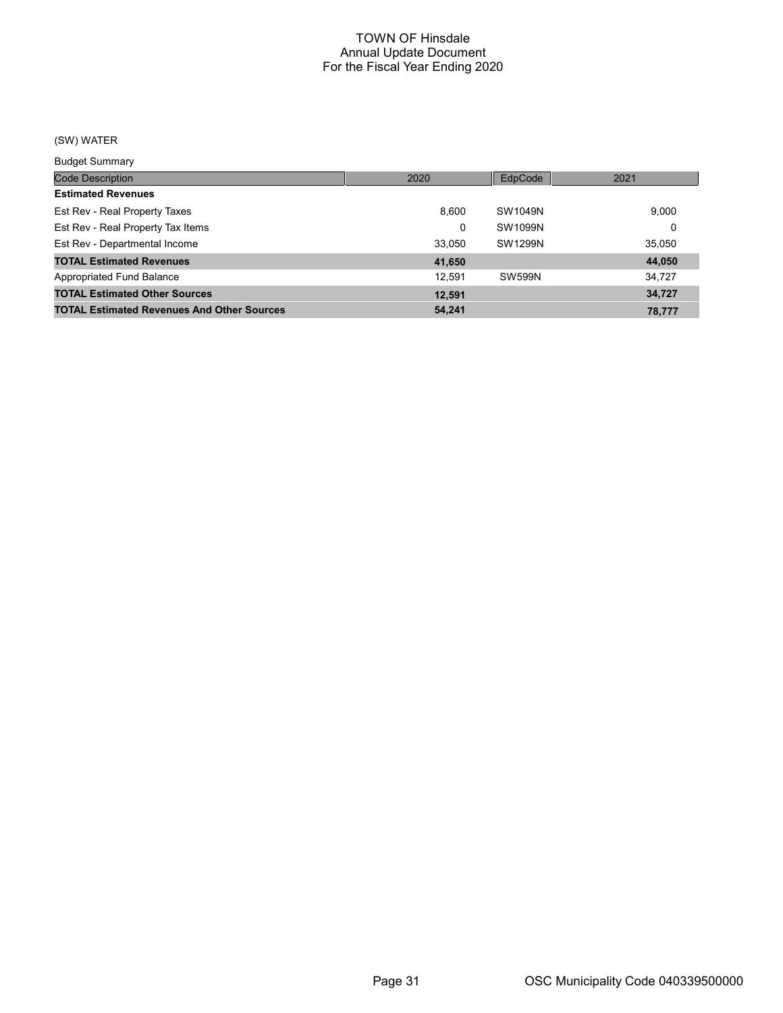## (SW) WATER

Budget Summary

| <u>Baagot Sariiriar</u>                           |        |               |        |
|---------------------------------------------------|--------|---------------|--------|
| <b>Code Description</b>                           | 2020   | EdpCode       | 2021   |
| <b>Estimated Revenues</b>                         |        |               |        |
| Est Rev - Real Property Taxes                     | 8.600  | SW1049N       | 9,000  |
| Est Rev - Real Property Tax Items                 | 0      | SW1099N       | 0      |
| Est Rev - Departmental Income                     | 33.050 | SW1299N       | 35,050 |
| <b>TOTAL Estimated Revenues</b>                   | 41,650 |               | 44,050 |
| Appropriated Fund Balance                         | 12.591 | <b>SW599N</b> | 34.727 |
| <b>TOTAL Estimated Other Sources</b>              | 12,591 |               | 34.727 |
| <b>TOTAL Estimated Revenues And Other Sources</b> | 54.241 |               | 78.777 |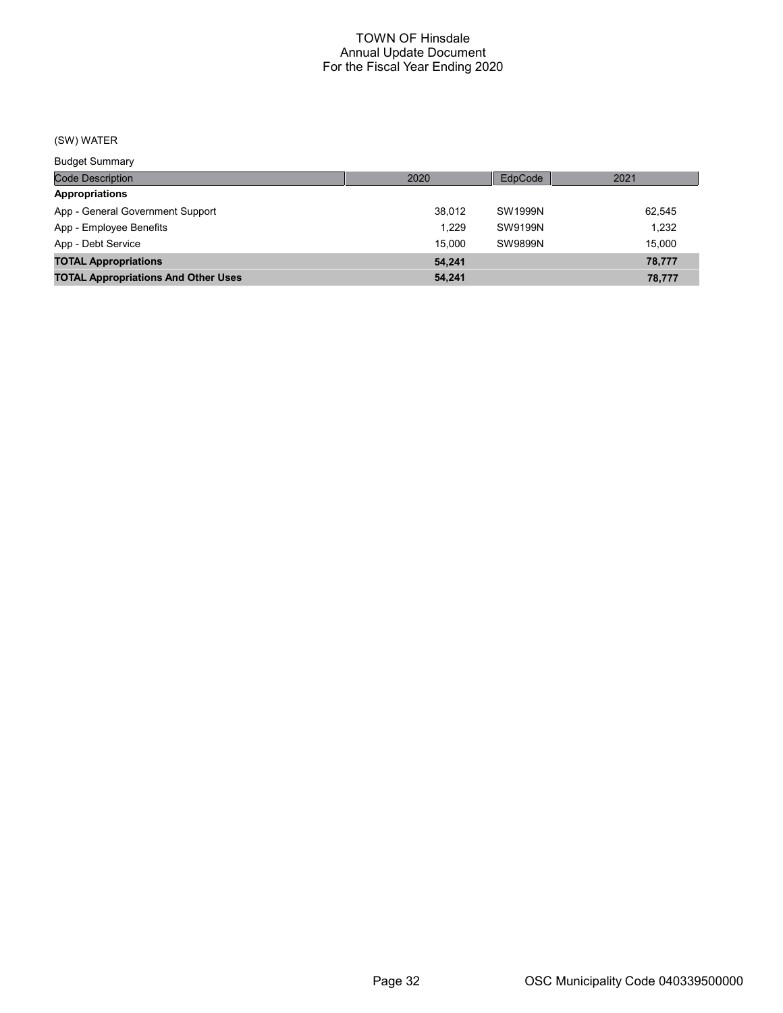## (SW) WATER

Budget Summary

| Duuyot Ourinium y                          |        |         |        |
|--------------------------------------------|--------|---------|--------|
| Code Description                           | 2020   | EdpCode | 2021   |
| Appropriations                             |        |         |        |
| App - General Government Support           | 38.012 | SW1999N | 62,545 |
| App - Employee Benefits                    | 1.229  | SW9199N | 1.232  |
| App - Debt Service                         | 15.000 | SW9899N | 15.000 |
| <b>TOTAL Appropriations</b>                | 54.241 |         | 78,777 |
| <b>TOTAL Appropriations And Other Uses</b> | 54,241 |         | 78,777 |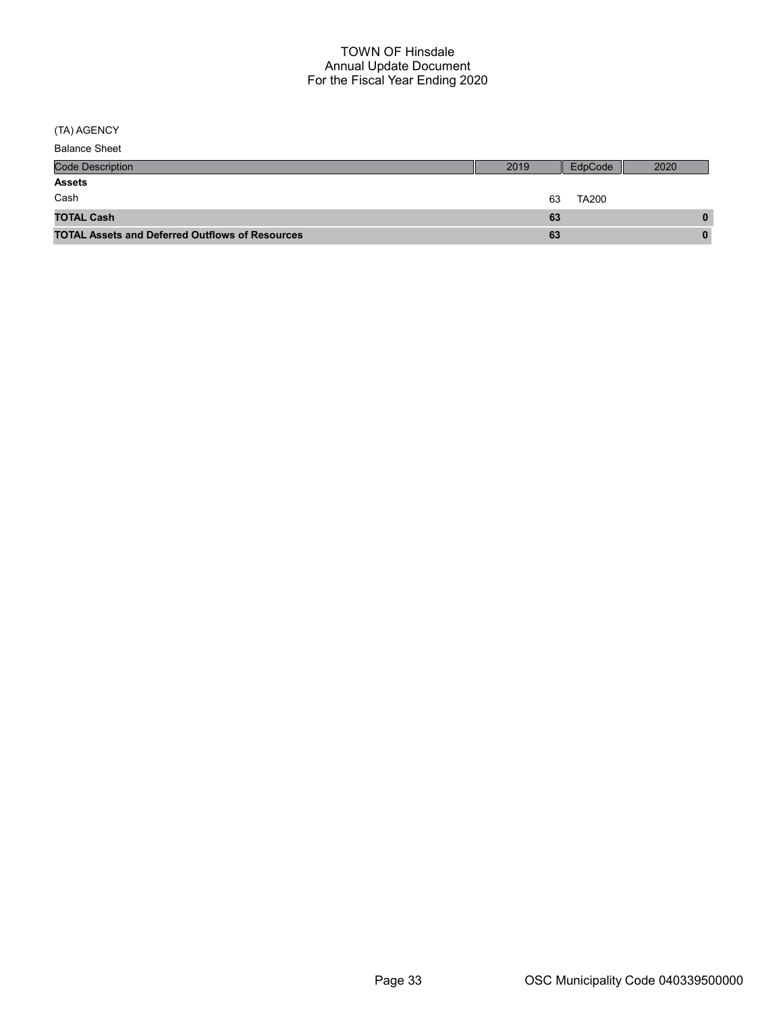(TA) AGENCY

| <b>Balance Sheet</b> |  |
|----------------------|--|
|----------------------|--|

| <b>Code Description</b>                                | 2019 | EdpCode      | 2020 |
|--------------------------------------------------------|------|--------------|------|
| <b>Assets</b>                                          |      |              |      |
| Cash                                                   | 63   | <b>TA200</b> |      |
| <b>TOTAL Cash</b>                                      | 63   |              | 0    |
| <b>TOTAL Assets and Deferred Outflows of Resources</b> | 63   |              | 0    |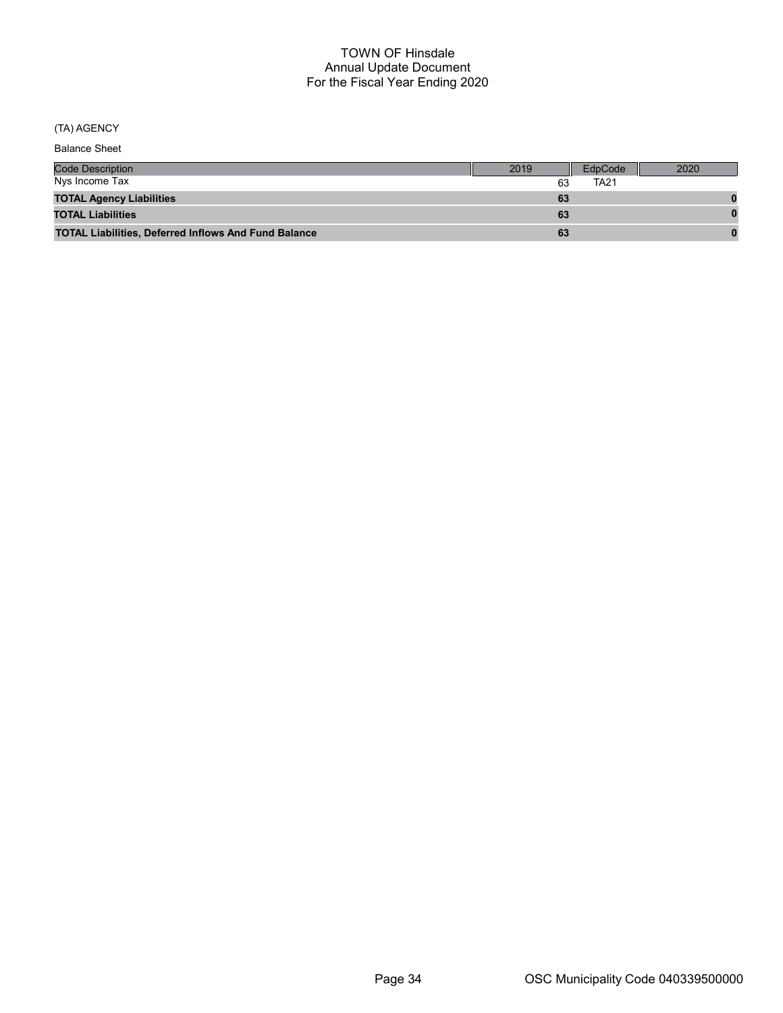## (TA) AGENCY

Balance Sheet

| <b>Code Description</b>                                     | 2019 | EdpCode | 2020 |
|-------------------------------------------------------------|------|---------|------|
| Nys Income Tax                                              | 63   | TA21    |      |
| <b>TOTAL Agency Liabilities</b>                             | 63   |         |      |
| <b>TOTAL Liabilities</b>                                    | 63   |         |      |
| <b>TOTAL Liabilities, Deferred Inflows And Fund Balance</b> | 63   |         |      |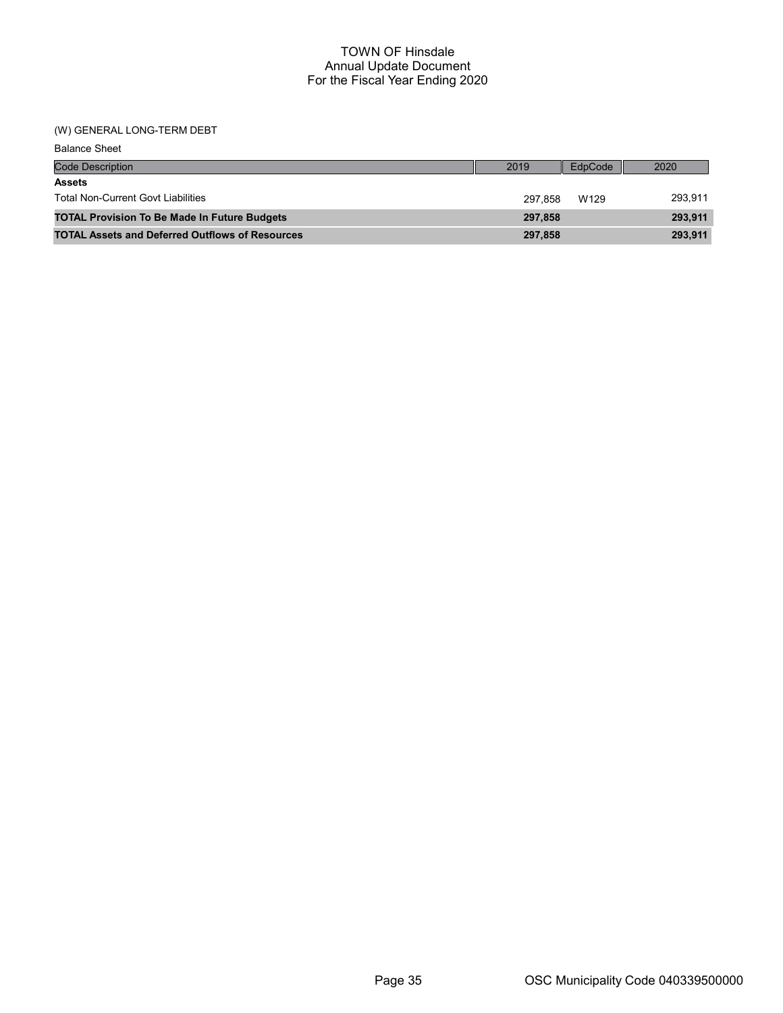## (W) GENERAL LONG-TERM DEBT

| <b>Balance Sheet</b>                                   |         |         |         |
|--------------------------------------------------------|---------|---------|---------|
| <b>Code Description</b>                                | 2019    | EdpCode | 2020    |
| <b>Assets</b>                                          |         |         |         |
| <b>Total Non-Current Govt Liabilities</b>              | 297.858 | W129    | 293,911 |
| <b>TOTAL Provision To Be Made In Future Budgets</b>    | 297,858 |         | 293,911 |
| <b>TOTAL Assets and Deferred Outflows of Resources</b> | 297,858 |         | 293,911 |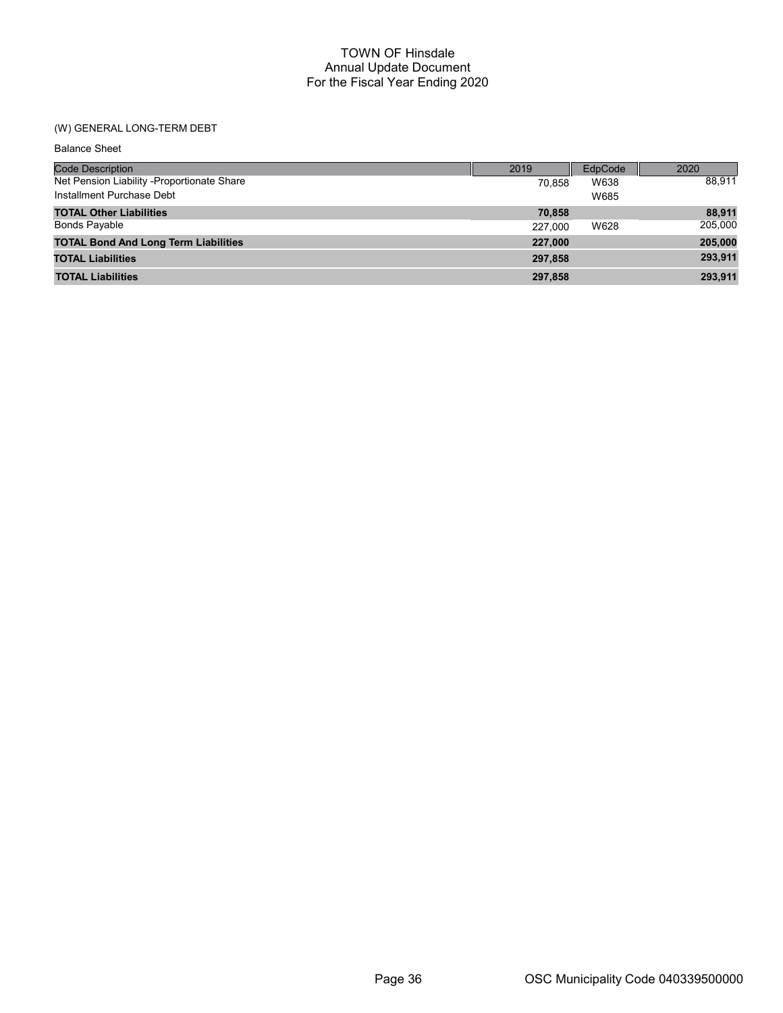## (W) GENERAL LONG-TERM DEBT

| <b>Balance Sheet</b>                        |         |         |         |
|---------------------------------------------|---------|---------|---------|
| <b>Code Description</b>                     | 2019    | EdpCode | 2020    |
| Net Pension Liability -Proportionate Share  | 70.858  | W638    | 88,911  |
| Installment Purchase Debt                   |         | W685    |         |
| <b>TOTAL Other Liabilities</b>              | 70,858  |         | 88,911  |
| <b>Bonds Payable</b>                        | 227,000 | W628    | 205,000 |
| <b>TOTAL Bond And Long Term Liabilities</b> | 227.000 |         | 205,000 |
| <b>TOTAL Liabilities</b>                    | 297,858 |         | 293,911 |
| <b>TOTAL Liabilities</b>                    | 297,858 |         | 293,911 |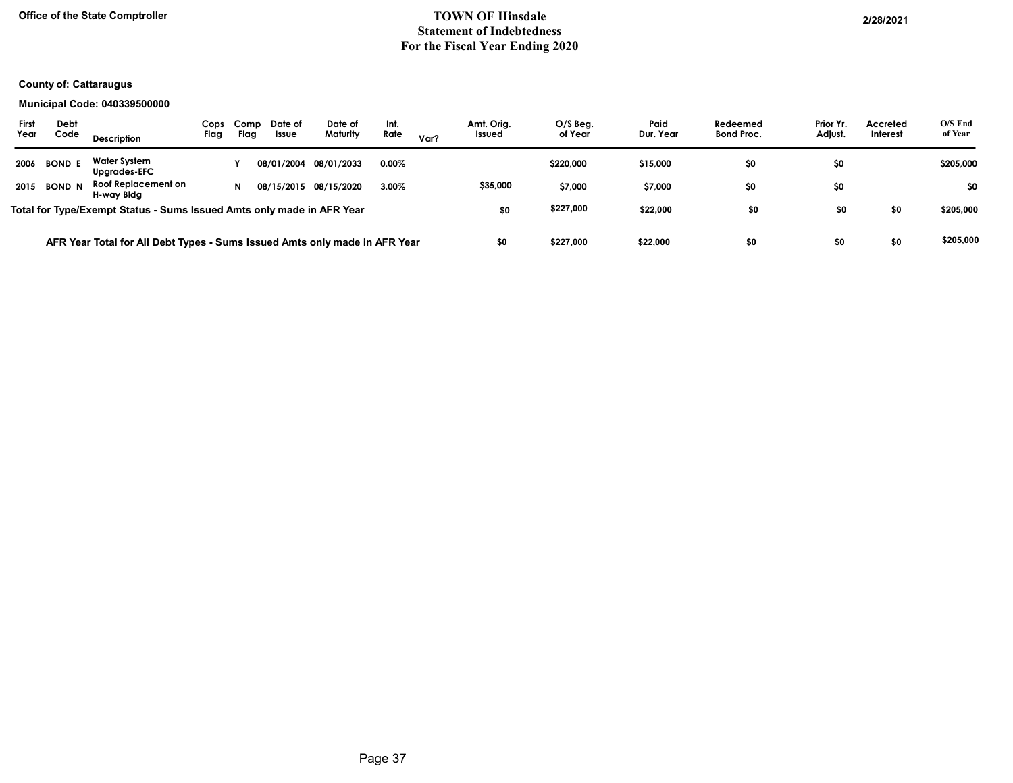## Office of the State Comptroller 2/28/2021 Statement of Indebtedness For the Fiscal Year Ending 2020

## County of: Cattaraugus

#### Municipal Code: 040339500000

| First<br>Year | Debt<br>Code  | <b>Description</b>                                                         | Cops<br>Flag | Comp<br>Flag | Date of<br><b>Issue</b> | Date of<br>Maturity   | Int.<br>Rate | Var? | Amt. Orig.<br>Issued | $O/S$ Beg.<br>of Year | Paid<br>Dur. Year | Redeemed<br><b>Bond Proc.</b> | Prior Yr.<br>Adjust. | Accreted<br>Interest | $O/S$ End<br>of Year |
|---------------|---------------|----------------------------------------------------------------------------|--------------|--------------|-------------------------|-----------------------|--------------|------|----------------------|-----------------------|-------------------|-------------------------------|----------------------|----------------------|----------------------|
| 2006          | <b>BOND E</b> | Water System<br>Upgrades-EFC                                               |              |              |                         | 08/01/2004 08/01/2033 | $0.00\%$     |      |                      | \$220,000             | \$15,000          | \$0                           | \$0                  |                      | \$205,000            |
| 2015          | <b>BOND N</b> | Roof Replacement on<br>H-wav Blda                                          |              |              |                         | 08/15/2015 08/15/2020 | 3.00%        |      | \$35,000             | \$7,000               | \$7,000           | \$0                           | \$0                  |                      | \$0                  |
|               |               | Total for Type/Exempt Status - Sums Issued Amts only made in AFR Year      |              |              |                         |                       |              |      | \$0                  | \$227,000             | \$22,000          | \$0                           | \$0                  | \$0                  | \$205,000            |
|               |               | AFR Year Total for All Debt Types - Sums Issued Amts only made in AFR Year |              |              |                         |                       |              |      | \$0                  | \$227.000             | \$22,000          | \$0                           | \$0                  | \$0                  | \$205,000            |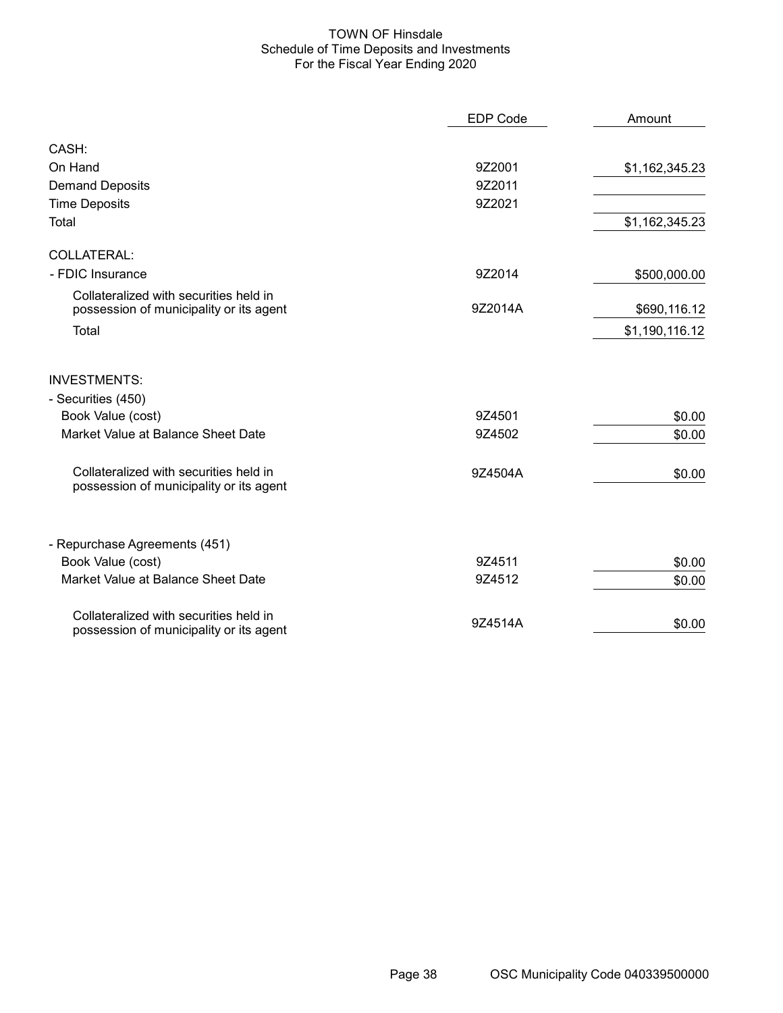### TOWN OF Hinsdale Schedule of Time Deposits and Investments For the Fiscal Year Ending 2020

|                                                                                   | <b>EDP Code</b> | Amount         |
|-----------------------------------------------------------------------------------|-----------------|----------------|
| CASH:                                                                             |                 |                |
| On Hand                                                                           | 9Z2001          | \$1,162,345.23 |
| <b>Demand Deposits</b>                                                            | 9Z2011          |                |
| <b>Time Deposits</b>                                                              | 9Z2021          |                |
| Total                                                                             |                 | \$1,162,345.23 |
| COLLATERAL:                                                                       |                 |                |
| - FDIC Insurance                                                                  | 9Z2014          | \$500,000.00   |
| Collateralized with securities held in<br>possession of municipality or its agent | 9Z2014A         | \$690,116.12   |
| Total                                                                             |                 | \$1,190,116.12 |
| <b>INVESTMENTS:</b>                                                               |                 |                |
| - Securities (450)                                                                |                 |                |
| Book Value (cost)                                                                 | 9Z4501          | \$0.00         |
| Market Value at Balance Sheet Date                                                | 9Z4502          | \$0.00         |
| Collateralized with securities held in<br>possession of municipality or its agent | 9Z4504A         | \$0.00         |
| - Repurchase Agreements (451)                                                     |                 |                |
| Book Value (cost)                                                                 | 9Z4511          | \$0.00         |
| Market Value at Balance Sheet Date                                                | 9Z4512          | \$0.00         |
| Collateralized with securities held in<br>possession of municipality or its agent | 9Z4514A         | \$0.00         |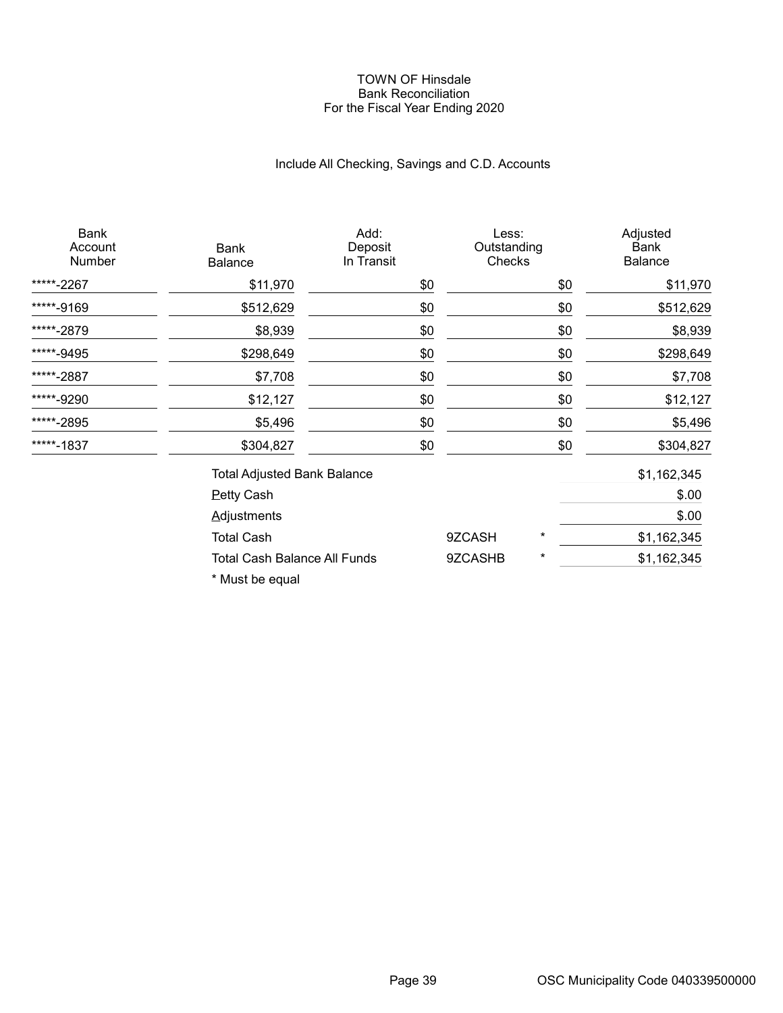#### TOWN OF Hinsdale Bank Reconciliation For the Fiscal Year Ending 2020

# Include All Checking, Savings and C.D. Accounts

| Bank<br><b>Balance</b> | Add:<br>Deposit<br>In Transit |                                                                           |          | Adjusted<br><b>Bank</b><br><b>Balance</b> |
|------------------------|-------------------------------|---------------------------------------------------------------------------|----------|-------------------------------------------|
| \$11,970               | \$0                           |                                                                           | \$0      | \$11,970                                  |
| \$512,629              | \$0                           |                                                                           | \$0      | \$512,629                                 |
| \$8,939                | \$0                           |                                                                           | \$0      | \$8,939                                   |
| \$298,649              | \$0                           |                                                                           | \$0      | \$298,649                                 |
| \$7,708                | \$0                           |                                                                           | \$0      | \$7,708                                   |
| \$12,127               | \$0                           |                                                                           | \$0      | \$12,127                                  |
| \$5,496                | \$0                           |                                                                           | \$0      | \$5,496                                   |
| \$304,827              | \$0                           |                                                                           | \$0      | \$304,827                                 |
|                        |                               |                                                                           |          | \$1,162,345                               |
| <b>Petty Cash</b>      |                               |                                                                           |          | \$.00                                     |
| <b>Adjustments</b>     |                               |                                                                           |          | \$.00                                     |
| <b>Total Cash</b>      |                               | 9ZCASH                                                                    | $^\star$ | \$1,162,345                               |
|                        |                               | 9ZCASHB                                                                   | *        | \$1,162,345                               |
|                        |                               | <b>Total Adjusted Bank Balance</b><br><b>Total Cash Balance All Funds</b> |          | Less:<br>Outstanding<br>Checks            |

\* Must be equal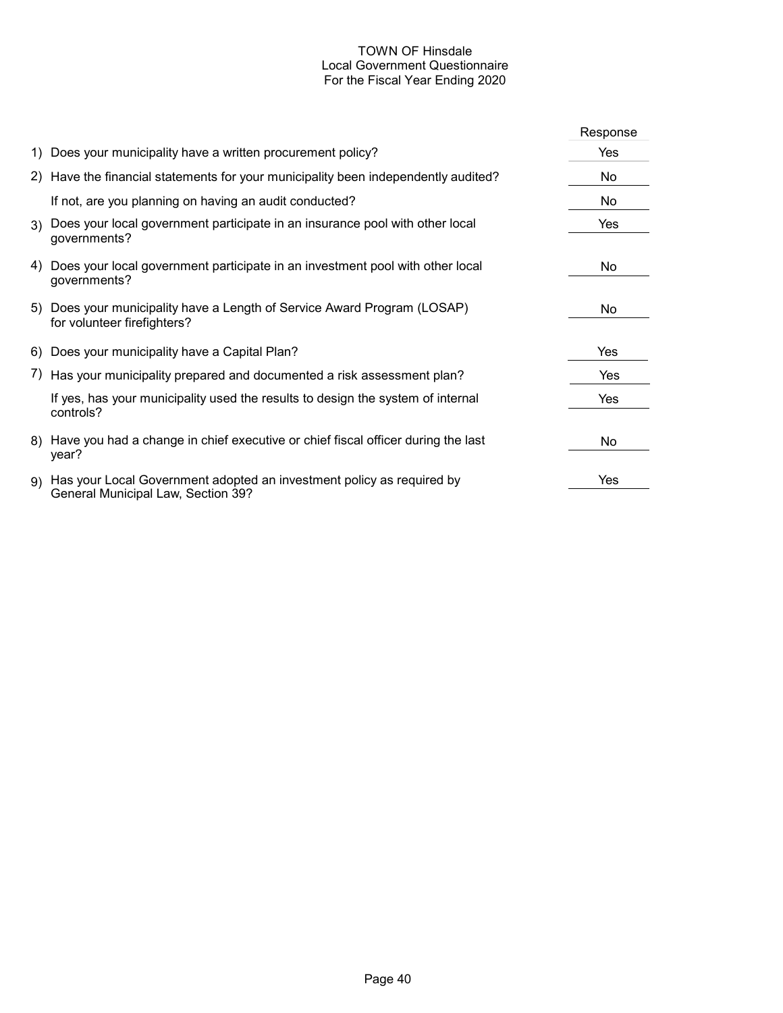## TOWN OF Hinsdale Local Government Questionnaire For the Fiscal Year Ending 2020

|                                                                                                                | Response |
|----------------------------------------------------------------------------------------------------------------|----------|
| 1) Does your municipality have a written procurement policy?                                                   | Yes      |
| 2) Have the financial statements for your municipality been independently audited?                             | No       |
| If not, are you planning on having an audit conducted?                                                         | No       |
| 3) Does your local government participate in an insurance pool with other local<br>governments?                | Yes      |
| 4) Does your local government participate in an investment pool with other local<br>governments?               | No       |
| 5) Does your municipality have a Length of Service Award Program (LOSAP)<br>for volunteer firefighters?        | No.      |
| 6) Does your municipality have a Capital Plan?                                                                 | Yes      |
| 7) Has your municipality prepared and documented a risk assessment plan?                                       | Yes      |
| If yes, has your municipality used the results to design the system of internal<br>controls?                   | Yes      |
| 8) Have you had a change in chief executive or chief fiscal officer during the last<br>year?                   | No       |
| 9) Has your Local Government adopted an investment policy as required by<br>General Municipal Law, Section 39? | Yes      |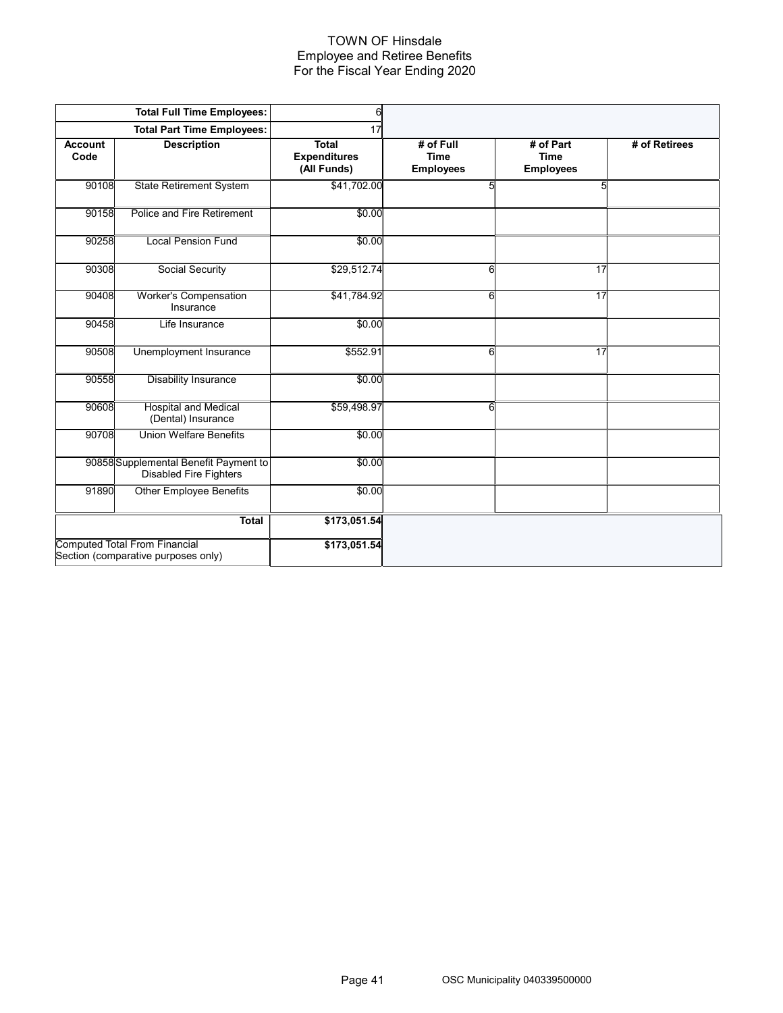#### TOWN OF Hinsdale Employee and Retiree Benefits For the Fiscal Year Ending 2020

|                        | <b>Total Full Time Employees:</b>                                           | $\mathsf{d}$                                       |                                              |                                              |               |
|------------------------|-----------------------------------------------------------------------------|----------------------------------------------------|----------------------------------------------|----------------------------------------------|---------------|
|                        | <b>Total Part Time Employees:</b>                                           | 17                                                 |                                              |                                              |               |
| <b>Account</b><br>Code | <b>Description</b>                                                          | <b>Total</b><br><b>Expenditures</b><br>(All Funds) | # of Full<br><b>Time</b><br><b>Employees</b> | # of Part<br><b>Time</b><br><b>Employees</b> | # of Retirees |
| 90108                  | <b>State Retirement System</b>                                              | \$41,702.00                                        | 5                                            | 5                                            |               |
| 90158                  | Police and Fire Retirement                                                  | \$0.00                                             |                                              |                                              |               |
| 90258                  | <b>Local Pension Fund</b>                                                   | \$0.00                                             |                                              |                                              |               |
| 90308                  | Social Security                                                             | \$29,512.74                                        | 6                                            | 17                                           |               |
| 90408                  | Worker's Compensation<br>Insurance                                          | \$41,784.92                                        | 6                                            | 17                                           |               |
| 90458                  | Life Insurance                                                              | \$0.00                                             |                                              |                                              |               |
| 90508                  | Unemployment Insurance                                                      | \$552.91                                           | 6                                            | 17                                           |               |
| 90558                  | <b>Disability Insurance</b>                                                 | \$0.00                                             |                                              |                                              |               |
| 90608                  | <b>Hospital and Medical</b><br>(Dental) Insurance                           | \$59,498.97                                        | 6                                            |                                              |               |
| 90708                  | <b>Union Welfare Benefits</b>                                               | \$0.00                                             |                                              |                                              |               |
|                        | 90858 Supplemental Benefit Payment to<br><b>Disabled Fire Fighters</b>      | \$0.00                                             |                                              |                                              |               |
| 91890                  | <b>Other Employee Benefits</b>                                              | \$0.00                                             |                                              |                                              |               |
|                        | <b>Total</b>                                                                | \$173,051.54                                       |                                              |                                              |               |
|                        | <b>Computed Total From Financial</b><br>Section (comparative purposes only) | \$173,051.54                                       |                                              |                                              |               |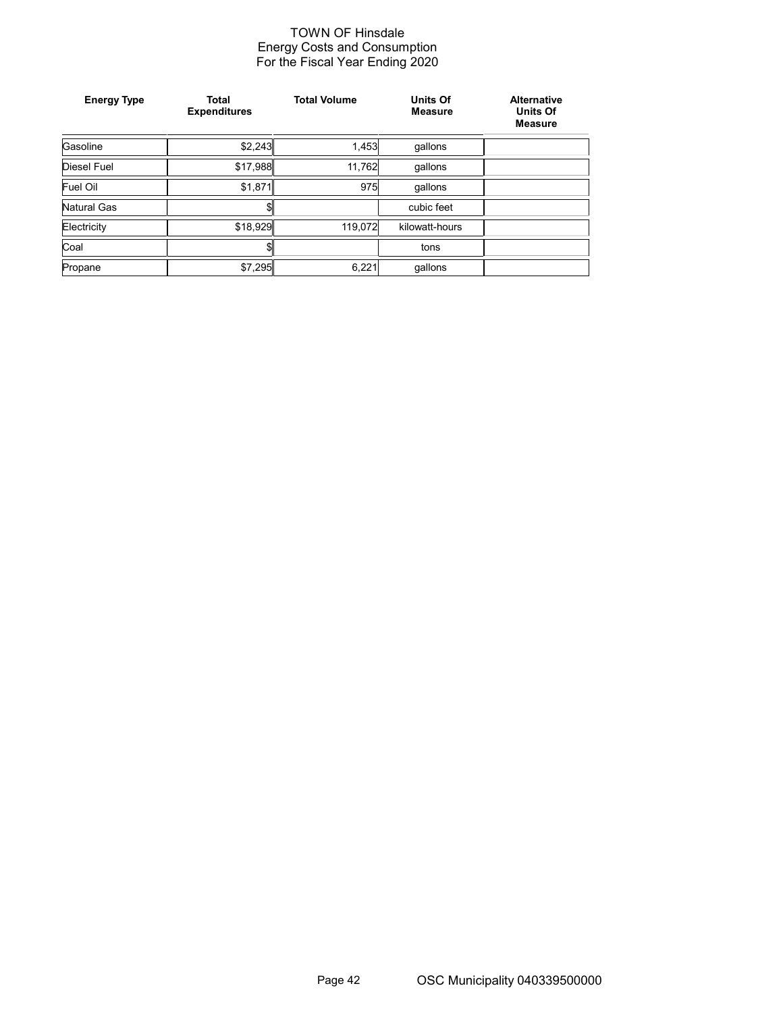## TOWN OF Hinsdale Energy Costs and Consumption For the Fiscal Year Ending 2020

| <b>Energy Type</b> | <b>Total</b><br><b>Expenditures</b> | <b>Total Volume</b> | <b>Units Of</b><br><b>Measure</b> | <b>Alternative</b><br><b>Units Of</b><br><b>Measure</b> |
|--------------------|-------------------------------------|---------------------|-----------------------------------|---------------------------------------------------------|
| Gasoline           | \$2,243                             | 1,453               | gallons                           |                                                         |
| Diesel Fuel        | \$17,988                            | 11,762              | gallons                           |                                                         |
| Fuel Oil           | \$1,871                             | 975                 | qallons                           |                                                         |
| Natural Gas        | \$1                                 |                     | cubic feet                        |                                                         |
| Electricity        | \$18,929                            | 119,072             | kilowatt-hours                    |                                                         |
| Coal               | \$1                                 |                     | tons                              |                                                         |
| Propane            | \$7,295                             | 6,221               | qallons                           |                                                         |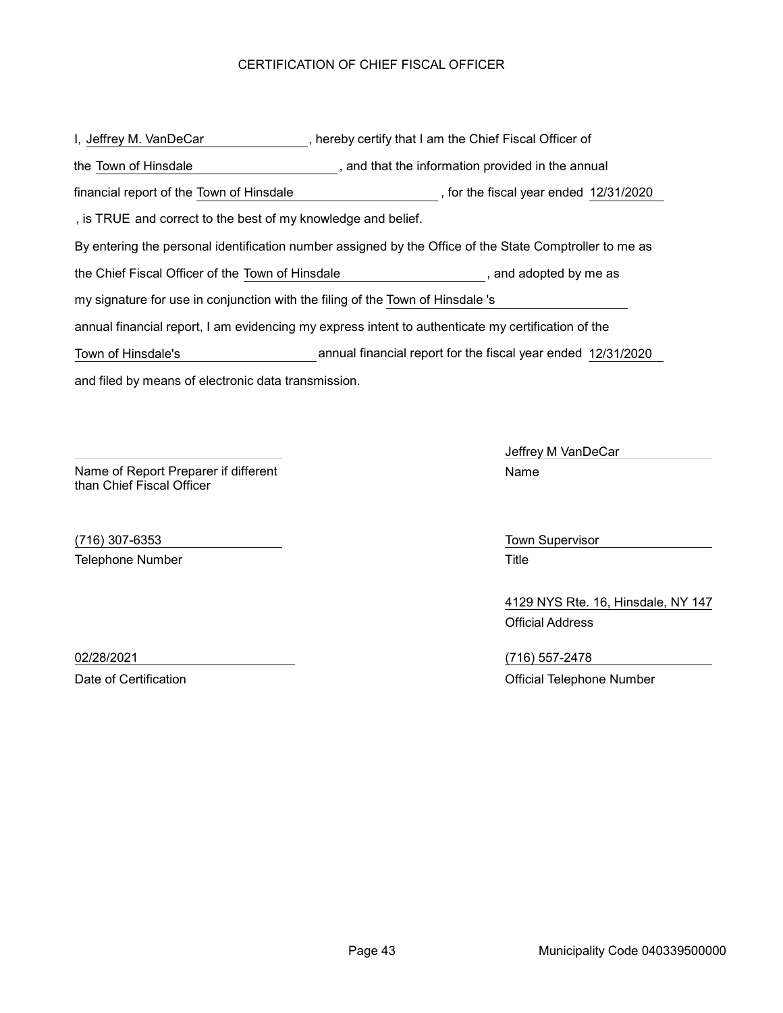## CERTIFICATION OF CHIEF FISCAL OFFICER

and filed by means of electronic data transmission. I, Jeffrey M. VanDeCar The Chief Fiscal Officer of By entering the personal identification number assigned by the Office of the State Comptroller to me as , and that the information provided in the annual the Town of Hinsdale the Chief Fiscal Officer of the Town of Hinsdale **the Chief Chief Fiscal Officer** of the Town of Hinsdale annual financial report, I am evidencing my express intent to authenticate my certification of the my signature for use in conjunction with the filing of the Town of Hinsdale 's , is TRUE and correct to the best of my knowledge and belief. financial report of the Town of Hinsdale (in the fiscal year ended 12/31/2020) Town of Hinsdale's annual financial report for the fiscal year ended 12/31/2020

Name of Report Preparer if different than Chief Fiscal Officer

(716) 307-6353 Town Supervisor Telephone Number **Title** 

Jeffrey M VanDeCar Name

4129 NYS Rte. 16, Hinsdale, NY 147 Official Address

02/28/2021 (716) 557-2478 Date of Certification **Date of Certification** Official Telephone Number

Page 43 Municipality Code 040339500000